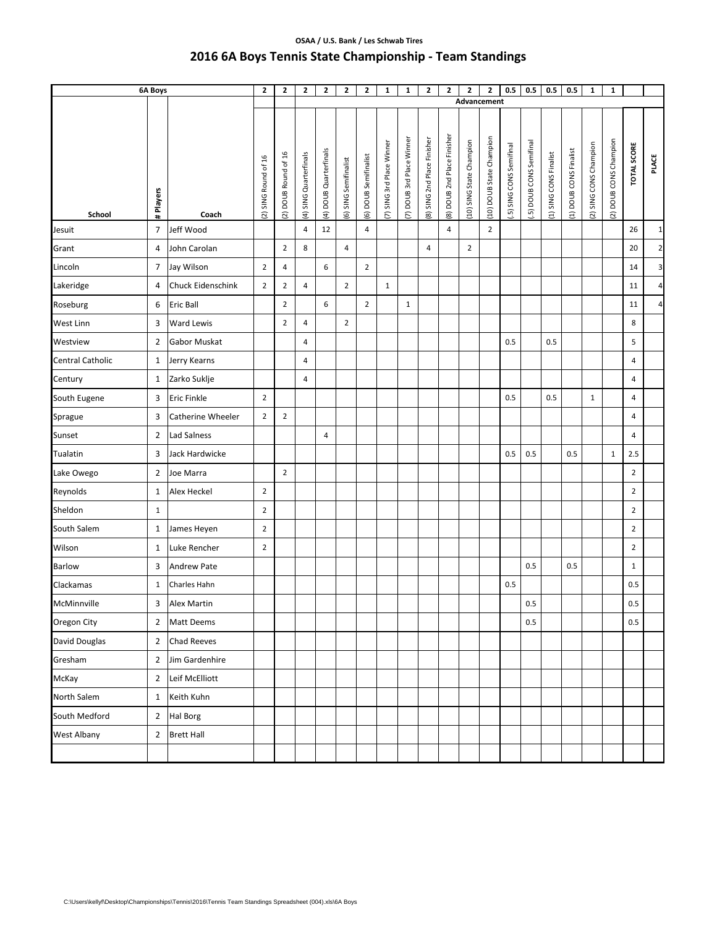## **OSAA / U.S. Bank / Les Schwab Tires 2016 6A Boys Tennis State Championship ‐ Team Standings**

| 6A Boys            |                |                   | $\mathbf{2}$        | $\mathbf{2}$        | $\mathbf{2}$          | 2                      | $\mathbf{2}$         | $\mathbf{2}$         | $\mathbf 1$              | 1                        | $\mathbf{2}$               | $\overline{2}$             | 2                       | 2                       | 0.5                     | 0.5                     | 0.5                   | 0.5                   | $\mathbf 1$           | $\mathbf{1}$          |                    |                         |
|--------------------|----------------|-------------------|---------------------|---------------------|-----------------------|------------------------|----------------------|----------------------|--------------------------|--------------------------|----------------------------|----------------------------|-------------------------|-------------------------|-------------------------|-------------------------|-----------------------|-----------------------|-----------------------|-----------------------|--------------------|-------------------------|
|                    |                |                   |                     |                     |                       |                        |                      |                      |                          |                          |                            |                            | Advancement             |                         |                         |                         |                       |                       |                       |                       |                    |                         |
| School             | # Players      | Coach             | 2) SING Round of 16 | 2) DOUB Round of 16 | 4) SING Quarterfinals | (4) DOUB Quarterfinals | 6) SING Semifinalist | 6) DOUB Semifinalist | 7) SING 3rd Place Winner | 7) DOUB 3rd Place Winner | 8) SING 2nd Place Finisher | 8) DOUB 2nd Place Finisher | 10) SING State Champion | 10) DOUB State Champion | .5) SING CONS Semifinal | .5) DOUB CONS Semifinal | 1) SING CONS Finalist | 1) DOUB CONS Finalist | 2) SING CONS Champion | 2) DOUB CONS Champion | <b>TOTAL SCORE</b> | <b>PLACE</b>            |
| Jesuit             | 7              | Jeff Wood         |                     |                     | $\overline{4}$        | 12                     |                      | 4                    |                          |                          |                            | 4                          |                         | $\overline{2}$          |                         |                         |                       |                       |                       |                       | 26                 | $\mathbf{1}$            |
| Grant              | 4              | John Carolan      |                     | $\overline{2}$      | 8                     |                        | 4                    |                      |                          |                          | 4                          |                            | $\overline{2}$          |                         |                         |                         |                       |                       |                       |                       | 20                 | $\mathbf{2}$            |
| Lincoln            | 7              | Jay Wilson        | $\overline{2}$      | 4                   |                       | 6                      |                      | $\overline{2}$       |                          |                          |                            |                            |                         |                         |                         |                         |                       |                       |                       |                       | 14                 | $\mathbf{3}$            |
| Lakeridge          | 4              | Chuck Eidenschink | $\overline{2}$      | $\mathbf 2$         | 4                     |                        | $\mathbf{2}$         |                      | $\mathbf{1}$             |                          |                            |                            |                         |                         |                         |                         |                       |                       |                       |                       | 11                 | $\overline{\mathbf{r}}$ |
| Roseburg           | 6              | Eric Ball         |                     | $\overline{2}$      |                       | 6                      |                      | $\overline{2}$       |                          | $1\,$                    |                            |                            |                         |                         |                         |                         |                       |                       |                       |                       | 11                 | $\overline{\mathbf{4}}$ |
| West Linn          | 3              | <b>Ward Lewis</b> |                     | $\overline{2}$      | 4                     |                        | $\overline{2}$       |                      |                          |                          |                            |                            |                         |                         |                         |                         |                       |                       |                       |                       | 8                  |                         |
| Westview           | $\overline{2}$ | Gabor Muskat      |                     |                     | 4                     |                        |                      |                      |                          |                          |                            |                            |                         |                         | 0.5                     |                         | 0.5                   |                       |                       |                       | 5                  |                         |
| Central Catholic   | $\mathbf{1}$   | Jerry Kearns      |                     |                     | 4                     |                        |                      |                      |                          |                          |                            |                            |                         |                         |                         |                         |                       |                       |                       |                       | 4                  |                         |
| Century            | $\mathbf{1}$   | Zarko Suklje      |                     |                     | 4                     |                        |                      |                      |                          |                          |                            |                            |                         |                         |                         |                         |                       |                       |                       |                       | 4                  |                         |
| South Eugene       | 3              | Eric Finkle       | $\overline{2}$      |                     |                       |                        |                      |                      |                          |                          |                            |                            |                         |                         | 0.5                     |                         | 0.5                   |                       | $\mathbf{1}$          |                       | 4                  |                         |
| Sprague            | 3              | Catherine Wheeler | $\overline{2}$      | $\mathbf 2$         |                       |                        |                      |                      |                          |                          |                            |                            |                         |                         |                         |                         |                       |                       |                       |                       | $\overline{4}$     |                         |
| Sunset             | $\overline{2}$ | Lad Salness       |                     |                     |                       | $\overline{4}$         |                      |                      |                          |                          |                            |                            |                         |                         |                         |                         |                       |                       |                       |                       | 4                  |                         |
| Tualatin           | 3              | Jack Hardwicke    |                     |                     |                       |                        |                      |                      |                          |                          |                            |                            |                         |                         | 0.5                     | 0.5                     |                       | 0.5                   |                       | 1                     | 2.5                |                         |
| Lake Owego         | $\overline{2}$ | Joe Marra         |                     | $\overline{2}$      |                       |                        |                      |                      |                          |                          |                            |                            |                         |                         |                         |                         |                       |                       |                       |                       | $\overline{2}$     |                         |
| Reynolds           | 1              | Alex Heckel       | $\mathbf 2$         |                     |                       |                        |                      |                      |                          |                          |                            |                            |                         |                         |                         |                         |                       |                       |                       |                       | $\mathbf 2$        |                         |
| Sheldon            | $\mathbf{1}$   |                   | $\overline{2}$      |                     |                       |                        |                      |                      |                          |                          |                            |                            |                         |                         |                         |                         |                       |                       |                       |                       | $\overline{2}$     |                         |
| South Salem        | $\mathbf{1}$   | James Heyen       | $\overline{2}$      |                     |                       |                        |                      |                      |                          |                          |                            |                            |                         |                         |                         |                         |                       |                       |                       |                       | $\overline{2}$     |                         |
| Wilson             | $\mathbf{1}$   | Luke Rencher      | $\mathbf 2$         |                     |                       |                        |                      |                      |                          |                          |                            |                            |                         |                         |                         |                         |                       |                       |                       |                       | $\overline{2}$     |                         |
| <b>Barlow</b>      | 3              | Andrew Pate       |                     |                     |                       |                        |                      |                      |                          |                          |                            |                            |                         |                         |                         | 0.5                     |                       | 0.5                   |                       |                       | $\mathbf{1}$       |                         |
| Clackamas          | $\mathbf{1}$   | Charles Hahn      |                     |                     |                       |                        |                      |                      |                          |                          |                            |                            |                         |                         | 0.5                     |                         |                       |                       |                       |                       | 0.5                |                         |
| McMinnville        | 3              | Alex Martin       |                     |                     |                       |                        |                      |                      |                          |                          |                            |                            |                         |                         |                         | $0.5\,$                 |                       |                       |                       |                       | 0.5                |                         |
| Oregon City        | $\overline{2}$ | Matt Deems        |                     |                     |                       |                        |                      |                      |                          |                          |                            |                            |                         |                         |                         | 0.5                     |                       |                       |                       |                       | 0.5                |                         |
| David Douglas      | $\overline{2}$ | Chad Reeves       |                     |                     |                       |                        |                      |                      |                          |                          |                            |                            |                         |                         |                         |                         |                       |                       |                       |                       |                    |                         |
| Gresham            | $\overline{2}$ | Jim Gardenhire    |                     |                     |                       |                        |                      |                      |                          |                          |                            |                            |                         |                         |                         |                         |                       |                       |                       |                       |                    |                         |
| McKay              | $\overline{2}$ | Leif McElliott    |                     |                     |                       |                        |                      |                      |                          |                          |                            |                            |                         |                         |                         |                         |                       |                       |                       |                       |                    |                         |
| North Salem        | $\mathbf{1}$   | Keith Kuhn        |                     |                     |                       |                        |                      |                      |                          |                          |                            |                            |                         |                         |                         |                         |                       |                       |                       |                       |                    |                         |
| South Medford      | $\mathbf 2$    | Hal Borg          |                     |                     |                       |                        |                      |                      |                          |                          |                            |                            |                         |                         |                         |                         |                       |                       |                       |                       |                    |                         |
| <b>West Albany</b> | $\overline{2}$ | <b>Brett Hall</b> |                     |                     |                       |                        |                      |                      |                          |                          |                            |                            |                         |                         |                         |                         |                       |                       |                       |                       |                    |                         |
|                    |                |                   |                     |                     |                       |                        |                      |                      |                          |                          |                            |                            |                         |                         |                         |                         |                       |                       |                       |                       |                    |                         |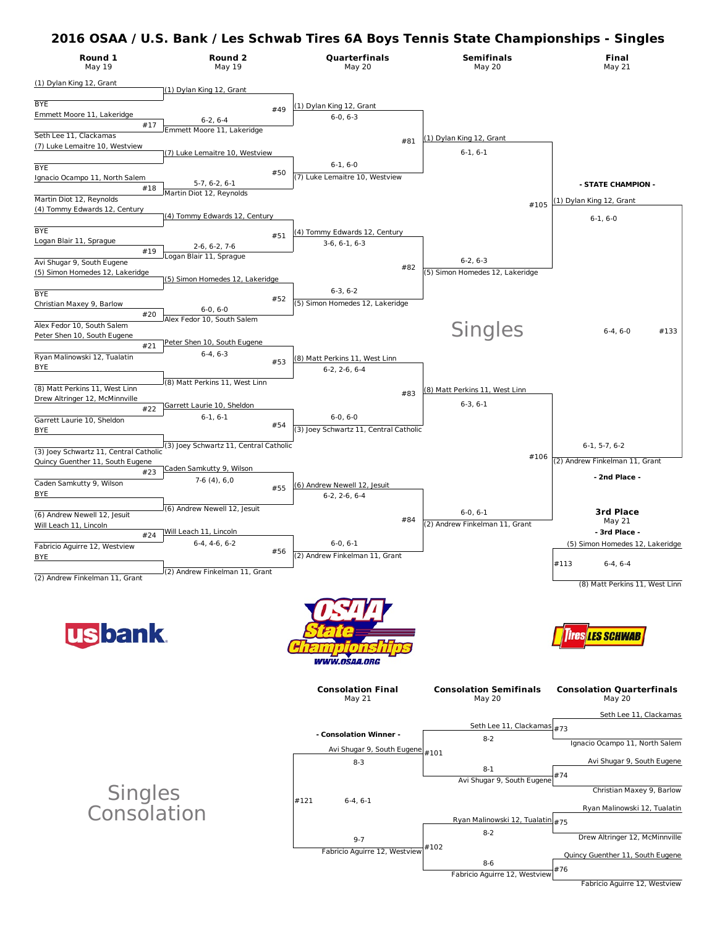| Round 1<br>May 19                      | Round 2<br>May 19                      |     | Quarterfinals<br><b>May 20</b>         | <b>Semifinals</b><br><b>May 20</b> | Final<br><b>May 21</b>          |
|----------------------------------------|----------------------------------------|-----|----------------------------------------|------------------------------------|---------------------------------|
| (1) Dylan King 12, Grant               | (1) Dylan King 12, Grant               |     |                                        |                                    |                                 |
|                                        |                                        |     |                                        |                                    |                                 |
| <b>BYE</b>                             |                                        | #49 | (1) Dylan King 12, Grant               |                                    |                                 |
| Emmett Moore 11, Lakeridge             | $6-2, 6-4$                             |     | $6-0, 6-3$                             |                                    |                                 |
| #17                                    | Emmett Moore 11, Lakeridge             |     |                                        |                                    |                                 |
| Seth Lee 11, Clackamas                 |                                        |     | #81                                    | (1) Dylan King 12, Grant           |                                 |
| (7) Luke Lemaitre 10, Westview         | (7) Luke Lemaitre 10, Westview         |     |                                        | $6-1, 6-1$                         |                                 |
|                                        |                                        |     | $6-1, 6-0$                             |                                    |                                 |
| <b>BYE</b>                             |                                        | #50 | (7) Luke Lemaitre 10, Westview         |                                    |                                 |
| Ignacio Ocampo 11, North Salem         | $5-7, 6-2, 6-1$                        |     |                                        |                                    | - STATE CHAMPION -              |
| #18                                    | Martin Diot 12, Reynolds               |     |                                        |                                    |                                 |
| Martin Diot 12, Reynolds               |                                        |     |                                        | #105                               | (1) Dylan King 12, Grant        |
| (4) Tommy Edwards 12, Century          | (4) Tommy Edwards 12, Century          |     |                                        |                                    | $6-1, 6-0$                      |
|                                        |                                        |     |                                        |                                    |                                 |
| <b>BYE</b>                             |                                        | #51 | (4) Tommy Edwards 12, Century          |                                    |                                 |
| Logan Blair 11, Sprague                | $2-6, 6-2, 7-6$                        |     | $3-6, 6-1, 6-3$                        |                                    |                                 |
| #19                                    | ogan Blair 11, Sprague                 |     |                                        |                                    |                                 |
| Avi Shugar 9, South Eugene             |                                        |     | #82                                    | $6-2, 6-3$                         |                                 |
| (5) Simon Homedes 12, Lakeridge        | (5) Simon Homedes 12, Lakeridge        |     |                                        | (5) Simon Homedes 12, Lakeridge    |                                 |
|                                        |                                        |     | $6-3, 6-2$                             |                                    |                                 |
| <b>BYE</b>                             |                                        | #52 |                                        |                                    |                                 |
| Christian Maxey 9, Barlow              | $6-0.6-0$                              |     | (5) Simon Homedes 12, Lakeridge        |                                    |                                 |
| #20                                    | Alex Fedor 10, South Salem             |     |                                        |                                    |                                 |
| Alex Fedor 10, South Salem             |                                        |     |                                        | <b>Singles</b>                     | #133<br>$6-4, 6-0$              |
| Peter Shen 10, South Eugene            | Peter Shen 10, South Eugene            |     |                                        |                                    |                                 |
| #21                                    | $6-4, 6-3$                             |     |                                        |                                    |                                 |
| Ryan Malinowski 12, Tualatin           |                                        | #53 | (8) Matt Perkins 11, West Linn         |                                    |                                 |
| <b>BYE</b>                             |                                        |     | $6-2, 2-6, 6-4$                        |                                    |                                 |
|                                        | (8) Matt Perkins 11, West Linn         |     |                                        |                                    |                                 |
| (8) Matt Perkins 11, West Linn         |                                        |     | #83                                    | 8) Matt Perkins 11, West Linn      |                                 |
| Drew Altringer 12, McMinnville         | Garrett Laurie 10, Sheldon             |     |                                        | $6-3, 6-1$                         |                                 |
| #22                                    |                                        |     | $6-0, 6-0$                             |                                    |                                 |
| Garrett Laurie 10, Sheldon             | $6-1, 6-1$                             | #54 |                                        |                                    |                                 |
| <b>BYE</b>                             |                                        |     | (3) Joey Schwartz 11, Central Catholic |                                    |                                 |
|                                        | (3) Joey Schwartz 11, Central Catholic |     |                                        |                                    | $6-1, 5-7, 6-2$                 |
| (3) Joey Schwartz 11, Central Catholic |                                        |     |                                        | #106                               |                                 |
| Quincy Guenther 11, South Eugene       | Caden Samkutty 9, Wilson               |     |                                        |                                    | (2) Andrew Finkelman 11, Grant  |
| #23                                    |                                        |     |                                        |                                    | - 2nd Place -                   |
| Caden Samkutty 9, Wilson               | $7-6(4), 6,0$                          | #55 | (6) Andrew Newell 12, Jesuit           |                                    |                                 |
| <b>BYE</b>                             |                                        |     | $6-2, 2-6, 6-4$                        |                                    |                                 |
|                                        | (6) Andrew Newell 12, Jesuit           |     |                                        |                                    |                                 |
| (6) Andrew Newell 12, Jesuit           |                                        |     | #84                                    | $6-0, 6-1$                         | <b>3rd Place</b><br>May 21      |
| Will Leach 11, Lincoln                 |                                        |     |                                        | (2) Andrew Finkelman 11, Grant     |                                 |
| #24                                    | <u>Will Leach 11, Lincoln</u>          |     |                                        |                                    | - 3rd Place -                   |
| Fabricio Aguirre 12, Westview          | $6-4, 4-6, 6-2$                        | #56 | $6-0, 6-1$                             |                                    | (5) Simon Homedes 12, Lakeridge |
| BYE                                    |                                        |     | (2) Andrew Finkelman 11, Grant         |                                    |                                 |
|                                        | (2) Andrew Finkelman 11, Grant         |     |                                        |                                    | #113<br>$6-4, 6-4$              |
|                                        |                                        |     |                                        |                                    |                                 |









**Singles Consolation**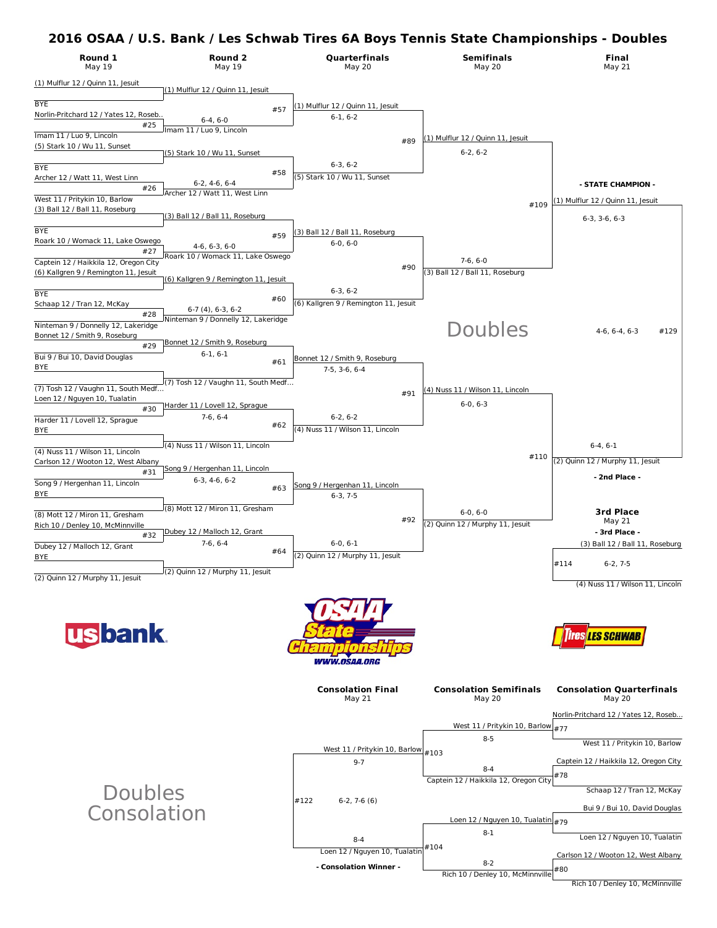

# Doubles Consolation

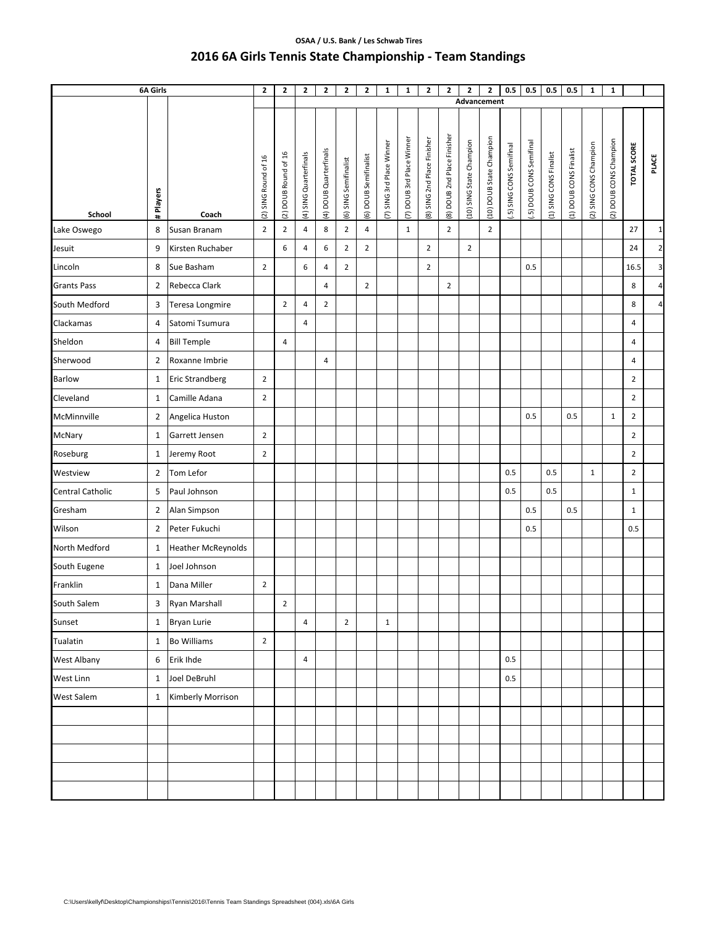## **OSAA / U.S. Bank / Les Schwab Tires 2016 6A Girls Tennis State Championship ‐ Team Standings**

| 6A Girls           |                | $\mathbf{2}$              | $\overline{2}$       | $\mathbf{2}$         | $\mathbf{2}$           | $\mathbf{2}$           | $\overline{\mathbf{2}}$ | $\mathbf{1}$          | 1                        | $\mathbf{z}$              | $\overline{2}$              | $\mathbf{2}$                | $\mathbf{2}$            | 0.5                     | 0.5                     | 0.5                     | 0.5                    | $\mathbf{1}$           | $\mathbf{1}$           |                        |                    |                 |
|--------------------|----------------|---------------------------|----------------------|----------------------|------------------------|------------------------|-------------------------|-----------------------|--------------------------|---------------------------|-----------------------------|-----------------------------|-------------------------|-------------------------|-------------------------|-------------------------|------------------------|------------------------|------------------------|------------------------|--------------------|-----------------|
|                    |                |                           |                      |                      |                        |                        |                         |                       |                          |                           |                             |                             | Advancement             |                         |                         |                         |                        |                        |                        |                        |                    |                 |
| School             | # Players      | Coach                     | (2) SING Round of 16 | (2) DOUB Round of 16 | (4) SING Quarterfinals | (4) DOUB Quarterfinals | (6) SING Semifinalist   | (6) DOUB Semifinalist | 7) SING 3rd Place Winner | (7) DOUB 3rd Place Winner | (8) SING 2nd Place Finisher | (8) DOUB 2nd Place Finisher | 10) SING State Champion | 10) DOUB State Champion | .5) SING CONS Semifinal | .5) DOUB CONS Semifinal | (1) SING CONS Finalist | (1) DOUB CONS Finalist | (2) SING CONS Champion | (2) DOUB CONS Champion | <b>TOTAL SCORE</b> | PLACE           |
| Lake Oswego        | 8              | Susan Branam              | $\overline{2}$       | $\overline{2}$       | $\overline{4}$         | 8                      | $\overline{2}$          | $\overline{4}$        |                          | $\mathbf{1}$              |                             | $\overline{2}$              |                         | $\overline{2}$          |                         |                         |                        |                        |                        |                        | 27                 | $1\overline{)}$ |
| Jesuit             | 9              | Kirsten Ruchaber          |                      | 6                    | 4                      | 6                      | $\overline{2}$          | $\overline{2}$        |                          |                           | $\overline{2}$              |                             | $\overline{2}$          |                         |                         |                         |                        |                        |                        |                        | 24                 | $\mathbf{2}$    |
| Lincoln            | 8              | Sue Basham                | $\overline{2}$       |                      | 6                      | 4                      | $\overline{2}$          |                       |                          |                           | $\overline{2}$              |                             |                         |                         |                         | 0.5                     |                        |                        |                        |                        | 16.5               | $\mathbf{3}$    |
| <b>Grants Pass</b> | $\overline{2}$ | Rebecca Clark             |                      |                      |                        | $\overline{4}$         |                         | $\overline{2}$        |                          |                           |                             | $\overline{2}$              |                         |                         |                         |                         |                        |                        |                        |                        | 8                  | $\overline{a}$  |
| South Medford      | 3              | Teresa Longmire           |                      | $\mathbf 2$          | 4                      | $\mathbf 2$            |                         |                       |                          |                           |                             |                             |                         |                         |                         |                         |                        |                        |                        |                        | 8                  | $\overline{4}$  |
| Clackamas          | 4              | Satomi Tsumura            |                      |                      | 4                      |                        |                         |                       |                          |                           |                             |                             |                         |                         |                         |                         |                        |                        |                        |                        | 4                  |                 |
| Sheldon            | 4              | <b>Bill Temple</b>        |                      | $\overline{4}$       |                        |                        |                         |                       |                          |                           |                             |                             |                         |                         |                         |                         |                        |                        |                        |                        | 4                  |                 |
| Sherwood           | $\overline{2}$ | Roxanne Imbrie            |                      |                      |                        | $\overline{4}$         |                         |                       |                          |                           |                             |                             |                         |                         |                         |                         |                        |                        |                        |                        | 4                  |                 |
| <b>Barlow</b>      | 1              | <b>Eric Strandberg</b>    | $\mathbf 2$          |                      |                        |                        |                         |                       |                          |                           |                             |                             |                         |                         |                         |                         |                        |                        |                        |                        | $\mathbf 2$        |                 |
| Cleveland          | 1              | Camille Adana             | $\overline{2}$       |                      |                        |                        |                         |                       |                          |                           |                             |                             |                         |                         |                         |                         |                        |                        |                        |                        | $\overline{2}$     |                 |
| McMinnville        | $\overline{2}$ | Angelica Huston           |                      |                      |                        |                        |                         |                       |                          |                           |                             |                             |                         |                         |                         | 0.5                     |                        | 0.5                    |                        | $\mathbf{1}$           | $\overline{2}$     |                 |
| McNary             | 1              | Garrett Jensen            | $\overline{2}$       |                      |                        |                        |                         |                       |                          |                           |                             |                             |                         |                         |                         |                         |                        |                        |                        |                        | $\overline{2}$     |                 |
| Roseburg           | $\mathbf{1}$   | Jeremy Root               | $\overline{2}$       |                      |                        |                        |                         |                       |                          |                           |                             |                             |                         |                         |                         |                         |                        |                        |                        |                        | $\overline{2}$     |                 |
| Westview           | $\overline{2}$ | Tom Lefor                 |                      |                      |                        |                        |                         |                       |                          |                           |                             |                             |                         |                         | 0.5                     |                         | 0.5                    |                        | $\mathbf{1}$           |                        | $\overline{2}$     |                 |
| Central Catholic   | 5              | Paul Johnson              |                      |                      |                        |                        |                         |                       |                          |                           |                             |                             |                         |                         | 0.5                     |                         | 0.5                    |                        |                        |                        | $\mathbf{1}$       |                 |
| Gresham            | $\overline{2}$ | Alan Simpson              |                      |                      |                        |                        |                         |                       |                          |                           |                             |                             |                         |                         |                         | 0.5                     |                        | 0.5                    |                        |                        | $\mathbf{1}$       |                 |
| Wilson             | $\overline{2}$ | Peter Fukuchi             |                      |                      |                        |                        |                         |                       |                          |                           |                             |                             |                         |                         |                         | 0.5                     |                        |                        |                        |                        | 0.5                |                 |
| North Medford      | $\mathbf{1}$   | <b>Heather McReynolds</b> |                      |                      |                        |                        |                         |                       |                          |                           |                             |                             |                         |                         |                         |                         |                        |                        |                        |                        |                    |                 |
| South Eugene       | $\mathbf{1}$   | Joel Johnson              |                      |                      |                        |                        |                         |                       |                          |                           |                             |                             |                         |                         |                         |                         |                        |                        |                        |                        |                    |                 |
| Franklin           | $\mathbf{1}$   | Dana Miller               | $\overline{2}$       |                      |                        |                        |                         |                       |                          |                           |                             |                             |                         |                         |                         |                         |                        |                        |                        |                        |                    |                 |
| South Salem        | 3              | Ryan Marshall             |                      | $\overline{2}$       |                        |                        |                         |                       |                          |                           |                             |                             |                         |                         |                         |                         |                        |                        |                        |                        |                    |                 |
| Sunset             | $\mathbf{1}$   | Bryan Lurie               |                      |                      | 4                      |                        | $\overline{2}$          |                       | $\mathbf{1}$             |                           |                             |                             |                         |                         |                         |                         |                        |                        |                        |                        |                    |                 |
| Tualatin           | $\mathbf{1}$   | <b>Bo Williams</b>        | $\overline{2}$       |                      |                        |                        |                         |                       |                          |                           |                             |                             |                         |                         |                         |                         |                        |                        |                        |                        |                    |                 |
| West Albany        | 6              | Erik Ihde                 |                      |                      | $\overline{4}$         |                        |                         |                       |                          |                           |                             |                             |                         |                         | 0.5                     |                         |                        |                        |                        |                        |                    |                 |
| West Linn          | $\mathbf{1}$   | Joel DeBruhl              |                      |                      |                        |                        |                         |                       |                          |                           |                             |                             |                         |                         | 0.5                     |                         |                        |                        |                        |                        |                    |                 |
| <b>West Salem</b>  | $\mathbf{1}$   | Kimberly Morrison         |                      |                      |                        |                        |                         |                       |                          |                           |                             |                             |                         |                         |                         |                         |                        |                        |                        |                        |                    |                 |
|                    |                |                           |                      |                      |                        |                        |                         |                       |                          |                           |                             |                             |                         |                         |                         |                         |                        |                        |                        |                        |                    |                 |
|                    |                |                           |                      |                      |                        |                        |                         |                       |                          |                           |                             |                             |                         |                         |                         |                         |                        |                        |                        |                        |                    |                 |
|                    |                |                           |                      |                      |                        |                        |                         |                       |                          |                           |                             |                             |                         |                         |                         |                         |                        |                        |                        |                        |                    |                 |
|                    |                |                           |                      |                      |                        |                        |                         |                       |                          |                           |                             |                             |                         |                         |                         |                         |                        |                        |                        |                        |                    |                 |
|                    |                |                           |                      |                      |                        |                        |                         |                       |                          |                           |                             |                             |                         |                         |                         |                         |                        |                        |                        |                        |                    |                 |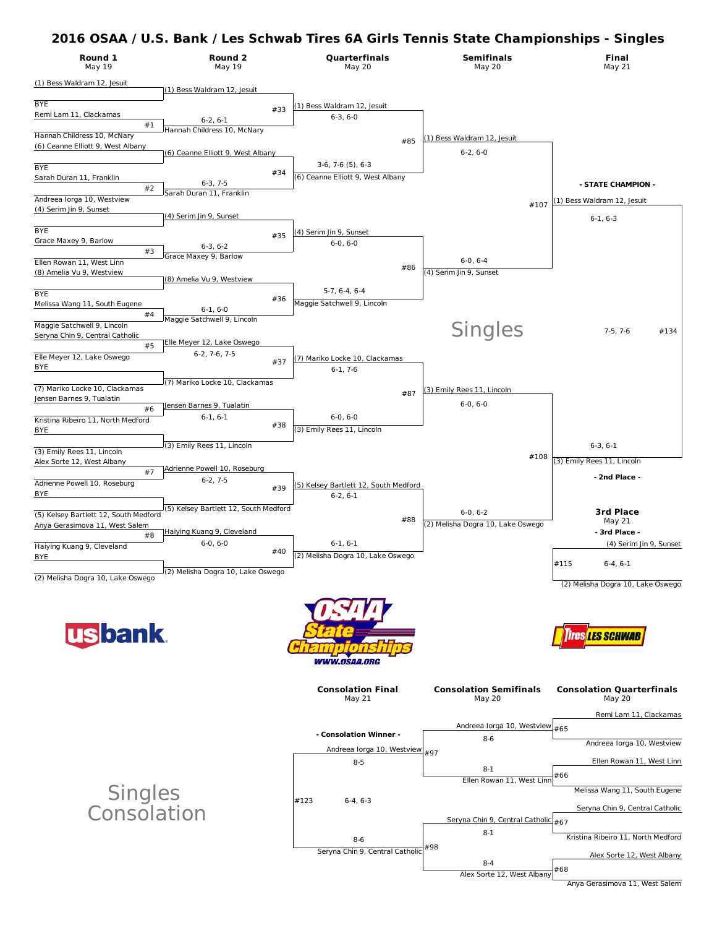| Round 1<br>May 19                                              | Round 2<br><b>May 19</b>                      | Quarterfinals<br><b>May 20</b>               | <b>Semifinals</b><br><b>May 20</b>             | Final<br><b>May 21</b>                     |
|----------------------------------------------------------------|-----------------------------------------------|----------------------------------------------|------------------------------------------------|--------------------------------------------|
| (1) Bess Waldram 12, Jesuit                                    | (1) Bess Waldram 12, Jesuit                   |                                              |                                                |                                            |
| <b>BYE</b>                                                     |                                               | (1) Bess Waldram 12, Jesuit                  |                                                |                                            |
| Remi Lam 11, Clackamas                                         | #33<br>$6-2, 6-1$                             | $6-3, 6-0$                                   |                                                |                                            |
| #1<br>Hannah Childress 10, McNary                              | Hannah Childress 10, McNary                   |                                              | (1) Bess Waldram 12, Jesuit                    |                                            |
| (6) Ceanne Elliott 9, West Albany                              | (6) Ceanne Elliott 9, West Albany             | #85                                          | $6-2, 6-0$                                     |                                            |
| <b>BYE</b>                                                     |                                               | $3-6, 7-6$ $(5)$ , $6-3$                     |                                                |                                            |
| Sarah Duran 11, Franklin                                       | #34<br>$6-3, 7-5$                             | (6) Ceanne Elliott 9, West Albany            |                                                | - STATE CHAMPION -                         |
| #2<br>Andreea lorga 10, Westview                               | Sarah Duran 11. Franklin                      |                                              |                                                | (1) Bess Waldram 12, Jesuit                |
| (4) Serim Jin 9, Sunset                                        | (4) Serim Jin 9, Sunset                       |                                              | #107                                           | $6-1, 6-3$                                 |
| <b>BYE</b>                                                     |                                               | (4) Serim Jin 9, Sunset                      |                                                |                                            |
| Grace Maxey 9, Barlow                                          | #35<br>$6-3, 6-2$                             | $6-0, 6-0$                                   |                                                |                                            |
| #3<br>Ellen Rowan 11, West Linn                                | Grace Maxey 9, Barlow                         |                                              | $6-0, 6-4$                                     |                                            |
| (8) Amelia Vu 9, Westview                                      | (8) Amelia Vu 9, Westview                     | #86                                          | (4) Serim Jin 9, Sunset                        |                                            |
| <b>BYE</b>                                                     |                                               | $5-7, 6-4, 6-4$                              |                                                |                                            |
| Melissa Wang 11, South Eugene                                  | #36<br>$6-1, 6-0$                             | Maggie Satchwell 9, Lincoln                  |                                                |                                            |
| #4                                                             | Maggie Satchwell 9, Lincoln                   |                                              |                                                |                                            |
| Maggie Satchwell 9, Lincoln<br>Seryna Chin 9, Central Catholic |                                               |                                              | <b>Singles</b>                                 | $7-5, 7-6$<br>#134                         |
| #5                                                             | Elle Meyer 12, Lake Oswego<br>$6-2, 7-6, 7-5$ |                                              |                                                |                                            |
| Elle Meyer 12, Lake Oswego<br>BYE                              | #37                                           | (7) Mariko Locke 10, Clackamas<br>$6-1, 7-6$ |                                                |                                            |
|                                                                | (7) Mariko Locke 10, Clackamas                |                                              |                                                |                                            |
| (7) Mariko Locke 10, Clackamas<br>Jensen Barnes 9, Tualatin    |                                               | #87                                          | (3) Emily Rees 11, Lincoln                     |                                            |
| #6                                                             | Jensen Barnes 9, Tualatin                     |                                              | $6-0, 6-0$                                     |                                            |
| Kristina Ribeiro 11, North Medford<br>BYE                      | $6-1, 6-1$<br>#38                             | $6-0, 6-0$<br>(3) Emily Rees 11, Lincoln     |                                                |                                            |
|                                                                | (3) Emily Rees 11, Lincoln                    |                                              |                                                | $6-3, 6-1$                                 |
| (3) Emily Rees 11, Lincoln                                     |                                               |                                              | #108                                           | (3) Emily Rees 11, Lincoln                 |
| Alex Sorte 12, West Albany<br>#7                               | Adrienne Powell 10, Roseburg                  |                                              |                                                | - 2nd Place -                              |
| Adrienne Powell 10, Roseburg                                   | $6-2, 7-5$<br>#39                             | (5) Kelsey Bartlett 12, South Medford        |                                                |                                            |
| BYE                                                            |                                               | $6-2, 6-1$                                   |                                                |                                            |
| (5) Kelsey Bartlett 12, South Medford                          | (5) Kelsey Bartlett 12, South Medford         | #88                                          | $6-0, 6-2$                                     | <b>3rd Place</b><br>May 21                 |
| Anya Gerasimova 11, West Salem<br>#8                           | Haiying Kuang 9, Cleveland                    |                                              | (2) Melisha Dogra 10, Lake Oswego              | - 3rd Place -                              |
| Haiying Kuang 9, Cleveland                                     | $6-0, 6-0$<br>#40                             | $6-1, 6-1$                                   |                                                | (4) Serim Jin 9, Sunset                    |
| <u>BYE</u>                                                     |                                               | (2) Melisha Dogra 10, Lake Oswego            |                                                | #115<br>$6-4, 6-1$                         |
| (2) Melisha Dogra 10, Lake Oswego                              | (2) Melisha Dogra 10, Lake Oswego             |                                              |                                                |                                            |
|                                                                |                                               |                                              |                                                | (2) Melisha Dogra 10, Lake Oswego          |
|                                                                |                                               |                                              |                                                |                                            |
|                                                                |                                               |                                              |                                                |                                            |
| <b>usbank</b>                                                  |                                               |                                              |                                                | res <mark>les schwab</mark>                |
|                                                                |                                               | <i><b>WWW.OSAA.ORG</b></i>                   |                                                |                                            |
|                                                                |                                               |                                              |                                                |                                            |
|                                                                |                                               | <b>Consolation Final</b><br>May 21           | <b>Consolation Semifinals</b><br>May 20        | <b>Consolation Quarterfinals</b><br>May 20 |
|                                                                |                                               |                                              |                                                |                                            |
|                                                                |                                               |                                              | Andreea lorga 10, Westview #65                 | Remi Lam 11, Clackamas                     |
|                                                                |                                               | - Consolation Winner -                       | $8 - 6$                                        | Andreea lorga 10, Westview                 |
|                                                                |                                               | Andreea lorga 10, Westview #97               |                                                |                                            |
|                                                                |                                               | $8 - 5$                                      | $8 - 1$                                        | Ellen Rowan 11, West Linn                  |
|                                                                |                                               |                                              | Ellen Rowan 11, West Linn                      | #66                                        |
|                                                                |                                               | #123<br>$6-4, 6-3$                           |                                                | Melissa Wang 11, South Eugene              |
| Singles<br>Consolation                                         |                                               |                                              |                                                | Seryna Chin 9, Central Catholic            |
|                                                                |                                               |                                              | Seryna Chin 9, Central Catholic #67<br>$8 - 1$ |                                            |
|                                                                |                                               | $8-6$                                        | #98                                            | Kristina Ribeiro 11, North Medford         |
|                                                                |                                               | Seryna Chin 9, Central Catholic              | $8 - 4$                                        | Alex Sorte 12, West Albany                 |
|                                                                |                                               |                                              |                                                | H G Q                                      |

8-4 #68 Alex Sorte 12, West Albany

Anya Gerasimova 11, West Salem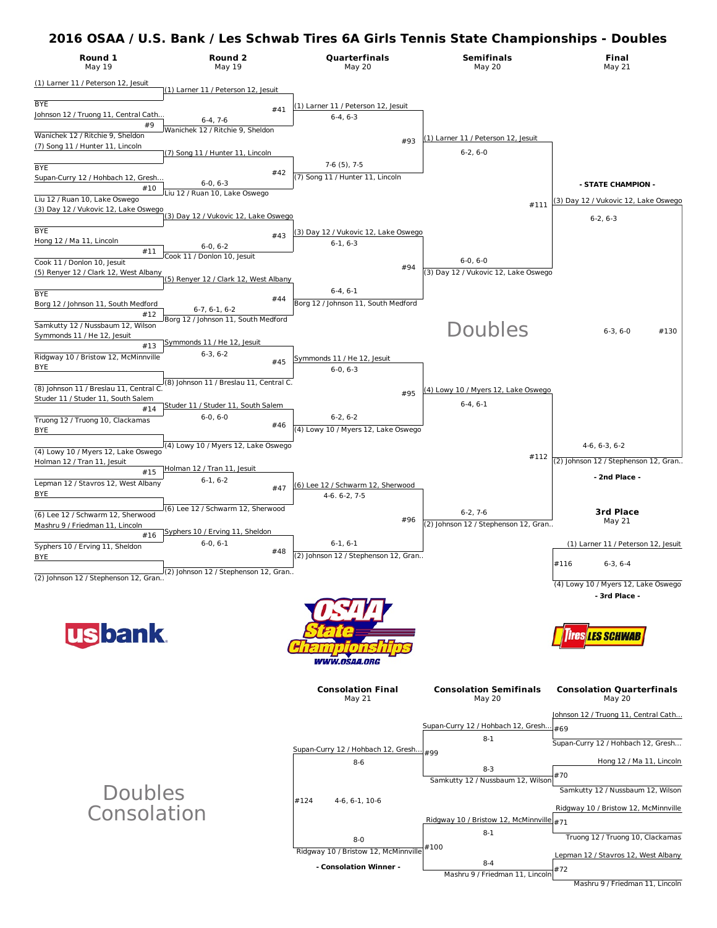

**- Consolation Winner -**

#72 Mashru 9 / Friedman 11, Lincoln

8-4

Mashru 9 / Friedman 11, Lincoln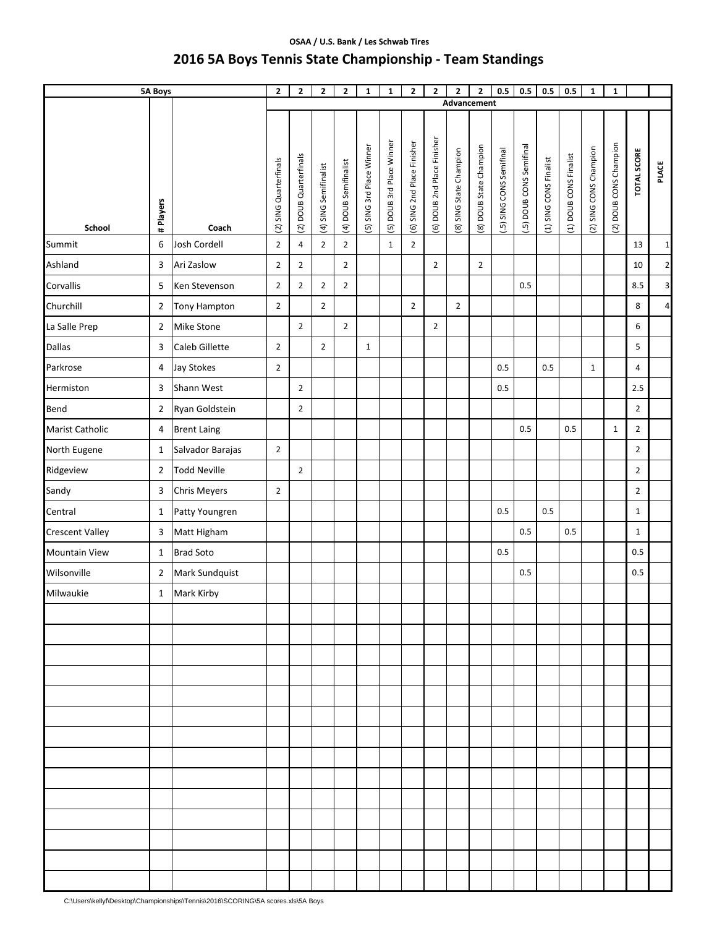# **OSAA / U.S. Bank / Les Schwab Tires 2016 5A Boys Tennis State Championship ‐ Team Standings**

|                        | <b>5A Boys</b>   |                     | $\mathbf{2}$           | $\mathbf{2}$           | $\mathbf{2}$          | $\overline{2}$        | $\mathbf 1$               | $\mathbf{1}$              | $\mathbf{2}$                | $\mathbf{2}$                | $\mathbf{2}$<br>Advancement | $\mathbf{2}$            | 0.5                      | 0.5                      | 0.5                    | 0.5                    | $\mathbf 1$            | $\mathbf{1}$           |                    |                 |
|------------------------|------------------|---------------------|------------------------|------------------------|-----------------------|-----------------------|---------------------------|---------------------------|-----------------------------|-----------------------------|-----------------------------|-------------------------|--------------------------|--------------------------|------------------------|------------------------|------------------------|------------------------|--------------------|-----------------|
|                        |                  |                     |                        |                        |                       |                       |                           |                           |                             |                             |                             |                         |                          |                          |                        |                        |                        |                        |                    |                 |
| School                 | # Players        | Coach               | (2) SING Quarterfinals | (2) DOUB Quarterfinals | (4) SING Semifinalist | (4) DOUB Semifinalist | (5) SING 3rd Place Winner | (5) DOUB 3rd Place Winner | (6) SING 2nd Place Finisher | (6) DOUB 2nd Place Finisher | (8) SING State Champion     | (8) DOUB State Champion | (.5) SING CONS Semifinal | [.5] DOUB CONS Semifinal | (1) SING CONS Finalist | (1) DOUB CONS Finalist | (2) SING CONS Champion | (2) DOUB CONS Champion | <b>TOTAL SCORE</b> | PLACE           |
| Summit                 | $\boldsymbol{6}$ | Josh Cordell        | $\overline{2}$         | 4                      | $\overline{2}$        | $\overline{2}$        |                           | $\mathbf{1}$              | $\mathbf 2$                 |                             |                             |                         |                          |                          |                        |                        |                        |                        | 13                 | $1\overline{ }$ |
| Ashland                | 3                | Ari Zaslow          | $\mathbf 2$            | $\overline{2}$         |                       | $\overline{2}$        |                           |                           |                             | $\overline{2}$              |                             | $\overline{2}$          |                          |                          |                        |                        |                        |                        | 10                 | $\overline{2}$  |
| Corvallis              | 5                | Ken Stevenson       | $\overline{2}$         | $\overline{2}$         | $\overline{2}$        | $\overline{2}$        |                           |                           |                             |                             |                             |                         |                          | 0.5                      |                        |                        |                        |                        | 8.5                | $\overline{3}$  |
| Churchill              | $\overline{2}$   | <b>Tony Hampton</b> | $\mathbf 2$            |                        | $\overline{2}$        |                       |                           |                           | $\overline{2}$              |                             | $\overline{2}$              |                         |                          |                          |                        |                        |                        |                        | 8                  | $\overline{4}$  |
| La Salle Prep          | $\overline{2}$   | Mike Stone          |                        | $\overline{2}$         |                       | $\overline{2}$        |                           |                           |                             | $\overline{2}$              |                             |                         |                          |                          |                        |                        |                        |                        | 6                  |                 |
| <b>Dallas</b>          | 3                | Caleb Gillette      | $\overline{2}$         |                        | $\overline{2}$        |                       | $\mathbf{1}$              |                           |                             |                             |                             |                         |                          |                          |                        |                        |                        |                        | 5                  |                 |
| Parkrose               | 4                | Jay Stokes          | $\overline{2}$         |                        |                       |                       |                           |                           |                             |                             |                             |                         | 0.5                      |                          | 0.5                    |                        | $\mathbf 1$            |                        | 4                  |                 |
| Hermiston              | 3                | Shann West          |                        | $\overline{2}$         |                       |                       |                           |                           |                             |                             |                             |                         | 0.5                      |                          |                        |                        |                        |                        | 2.5                |                 |
| Bend                   | $\overline{2}$   | Ryan Goldstein      |                        | $\overline{2}$         |                       |                       |                           |                           |                             |                             |                             |                         |                          |                          |                        |                        |                        |                        | $\overline{2}$     |                 |
| Marist Catholic        | $\overline{a}$   | <b>Brent Laing</b>  |                        |                        |                       |                       |                           |                           |                             |                             |                             |                         |                          | 0.5                      |                        | 0.5                    |                        | $\mathbf{1}$           | $\overline{2}$     |                 |
| North Eugene           | $\mathbf{1}$     | Salvador Barajas    | $\overline{2}$         |                        |                       |                       |                           |                           |                             |                             |                             |                         |                          |                          |                        |                        |                        |                        | $\overline{2}$     |                 |
| Ridgeview              | $\overline{2}$   | <b>Todd Neville</b> |                        | $\overline{2}$         |                       |                       |                           |                           |                             |                             |                             |                         |                          |                          |                        |                        |                        |                        | $\overline{2}$     |                 |
| Sandy                  | 3                | <b>Chris Meyers</b> | $\overline{2}$         |                        |                       |                       |                           |                           |                             |                             |                             |                         |                          |                          |                        |                        |                        |                        | $\overline{2}$     |                 |
| Central                | $\mathbf{1}$     | Patty Youngren      |                        |                        |                       |                       |                           |                           |                             |                             |                             |                         | 0.5                      |                          | 0.5                    |                        |                        |                        | $\mathbf{1}$       |                 |
| <b>Crescent Valley</b> | 3                | Matt Higham         |                        |                        |                       |                       |                           |                           |                             |                             |                             |                         |                          | 0.5                      |                        | 0.5                    |                        |                        | $\mathbf{1}$       |                 |
| <b>Mountain View</b>   | $\mathbf{1}$     | <b>Brad Soto</b>    |                        |                        |                       |                       |                           |                           |                             |                             |                             |                         | 0.5                      |                          |                        |                        |                        |                        | 0.5                |                 |
| Wilsonville            | $\overline{2}$   | Mark Sundquist      |                        |                        |                       |                       |                           |                           |                             |                             |                             |                         |                          | 0.5                      |                        |                        |                        |                        | 0.5                |                 |
| Milwaukie              | $\mathbf{1}$     | Mark Kirby          |                        |                        |                       |                       |                           |                           |                             |                             |                             |                         |                          |                          |                        |                        |                        |                        |                    |                 |
|                        |                  |                     |                        |                        |                       |                       |                           |                           |                             |                             |                             |                         |                          |                          |                        |                        |                        |                        |                    |                 |
|                        |                  |                     |                        |                        |                       |                       |                           |                           |                             |                             |                             |                         |                          |                          |                        |                        |                        |                        |                    |                 |
|                        |                  |                     |                        |                        |                       |                       |                           |                           |                             |                             |                             |                         |                          |                          |                        |                        |                        |                        |                    |                 |
|                        |                  |                     |                        |                        |                       |                       |                           |                           |                             |                             |                             |                         |                          |                          |                        |                        |                        |                        |                    |                 |
|                        |                  |                     |                        |                        |                       |                       |                           |                           |                             |                             |                             |                         |                          |                          |                        |                        |                        |                        |                    |                 |
|                        |                  |                     |                        |                        |                       |                       |                           |                           |                             |                             |                             |                         |                          |                          |                        |                        |                        |                        |                    |                 |
|                        |                  |                     |                        |                        |                       |                       |                           |                           |                             |                             |                             |                         |                          |                          |                        |                        |                        |                        |                    |                 |
|                        |                  |                     |                        |                        |                       |                       |                           |                           |                             |                             |                             |                         |                          |                          |                        |                        |                        |                        |                    |                 |
|                        |                  |                     |                        |                        |                       |                       |                           |                           |                             |                             |                             |                         |                          |                          |                        |                        |                        |                        |                    |                 |
|                        |                  |                     |                        |                        |                       |                       |                           |                           |                             |                             |                             |                         |                          |                          |                        |                        |                        |                        |                    |                 |
|                        |                  |                     |                        |                        |                       |                       |                           |                           |                             |                             |                             |                         |                          |                          |                        |                        |                        |                        |                    |                 |
|                        |                  |                     |                        |                        |                       |                       |                           |                           |                             |                             |                             |                         |                          |                          |                        |                        |                        |                        |                    |                 |
|                        |                  |                     |                        |                        |                       |                       |                           |                           |                             |                             |                             |                         |                          |                          |                        |                        |                        |                        |                    |                 |
|                        |                  |                     |                        |                        |                       |                       |                           |                           |                             |                             |                             |                         |                          |                          |                        |                        |                        |                        |                    |                 |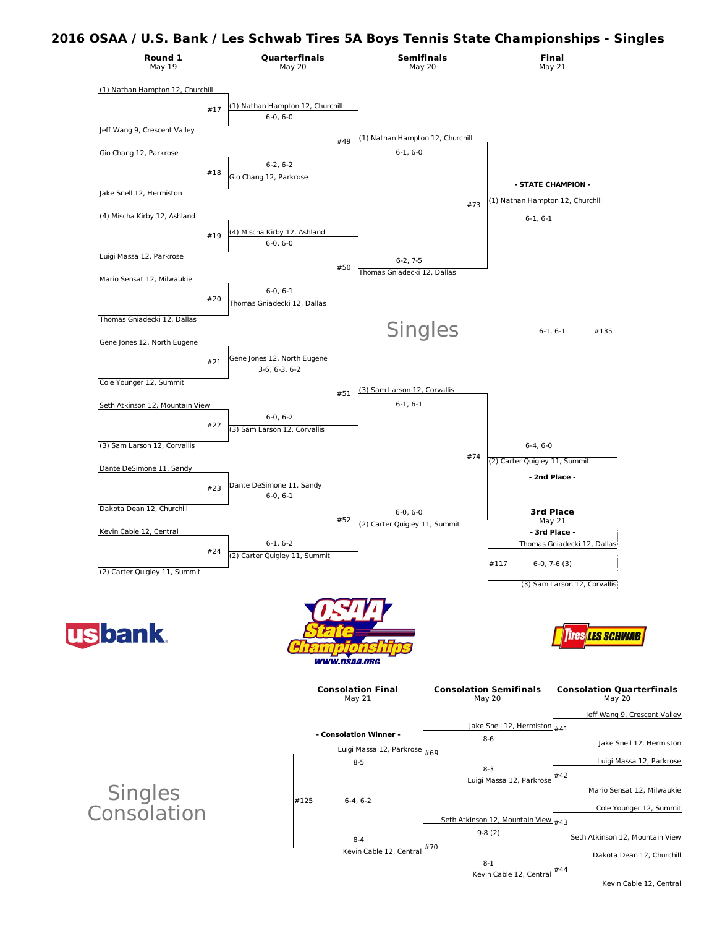### **2016 OSAA / U.S. Bank / Les Schwab Tires 5A Boys Tennis State Championships - Singles**



Kevin Cable 12, Central

#44

Kevin Cable 12, Central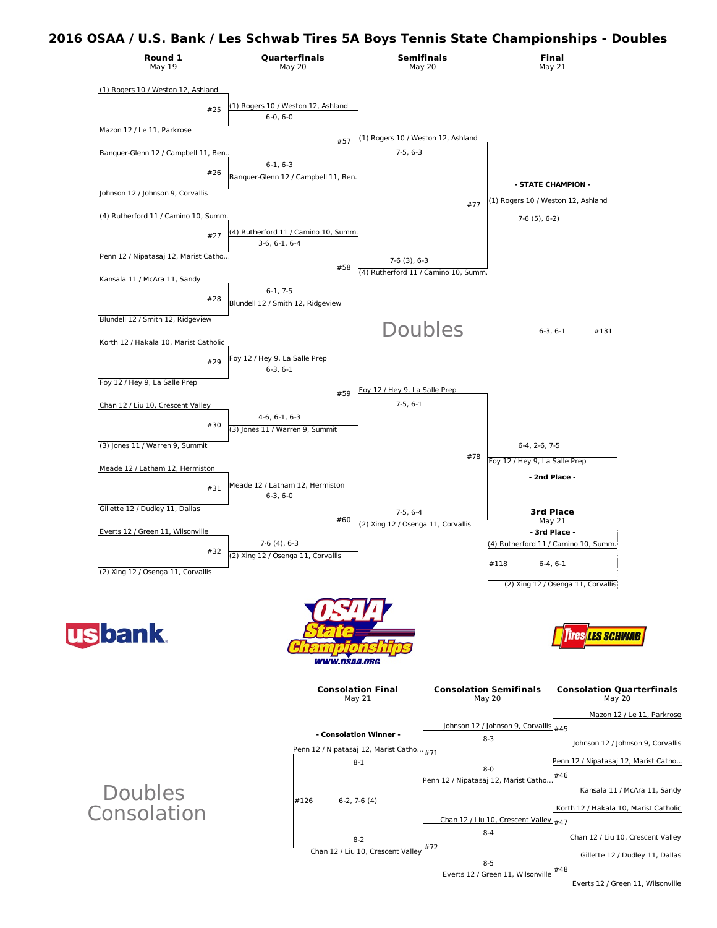### **2016 OSAA / U.S. Bank / Les Schwab Tires 5A Boys Tennis State Championships - Doubles**



Everts 12 / Green 11, Wilsonville Everts 12 / Green 11, Wilsonville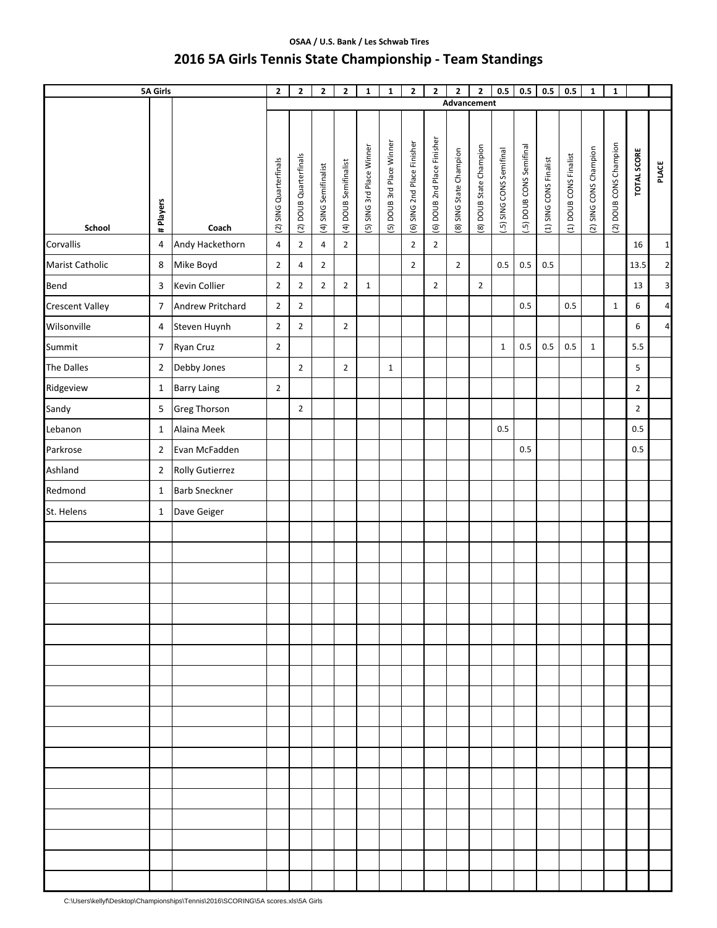# **OSAA / U.S. Bank / Les Schwab Tires 2016 5A Girls Tennis State Championship ‐ Team Standings**

|                        | <b>5A Girls</b> |                        | $\mathbf 2$            | $\mathbf{2}$           | $\mathbf{2}$          | $\mathbf{2}$          | $\mathbf 1$               | $\mathbf{1}$              | $\mathbf{2}$                | $\mathbf{2}$                | 2<br>Advancement        | $\mathbf{2}$            | 0.5                      | 0.5                      | $0.5\,$                | $0.5\,$                | $\mathbf{1}$           | $\mathbf 1$            |                    |                 |
|------------------------|-----------------|------------------------|------------------------|------------------------|-----------------------|-----------------------|---------------------------|---------------------------|-----------------------------|-----------------------------|-------------------------|-------------------------|--------------------------|--------------------------|------------------------|------------------------|------------------------|------------------------|--------------------|-----------------|
|                        |                 |                        |                        |                        |                       |                       |                           |                           |                             |                             |                         |                         |                          |                          |                        |                        |                        |                        |                    |                 |
| School                 | # Players       | Coach                  | (2) SING Quarterfinals | (2) DOUB Quarterfinals | (4) SING Semifinalist | (4) DOUB Semifinalist | (5) SING 3rd Place Winner | [5) DOUB 3rd Place Winner | (6) SING 2nd Place Finisher | (6) DOUB 2nd Place Finisher | (8) SING State Champion | (8) DOUB State Champion | (.5) SING CONS Semifinal | (.5) DOUB CONS Semifinal | (1) SING CONS Finalist | (1) DOUB CONS Finalist | (2) SING CONS Champion | (2) DOUB CONS Champion | <b>TOTAL SCORE</b> | <b>PLACE</b>    |
| Corvallis              | $\overline{4}$  | Andy Hackethorn        | $\overline{4}$         | $\overline{2}$         | 4                     | $\overline{2}$        |                           |                           | $\overline{2}$              | $\overline{2}$              |                         |                         |                          |                          |                        |                        |                        |                        | 16                 | $1\overline{)}$ |
| <b>Marist Catholic</b> | 8               | Mike Boyd              | $\overline{2}$         | 4                      | $\mathbf 2$           |                       |                           |                           | $\overline{2}$              |                             | $\overline{2}$          |                         | 0.5                      | 0.5                      | 0.5                    |                        |                        |                        | 13.5               | $\overline{2}$  |
| Bend                   | 3               | Kevin Collier          | $\overline{2}$         | $\overline{2}$         | $\overline{2}$        | $\overline{2}$        | $\mathbf{1}$              |                           |                             | $\overline{2}$              |                         | $\overline{2}$          |                          |                          |                        |                        |                        |                        | 13                 | $\mathbf{3}$    |
| <b>Crescent Valley</b> | $\overline{7}$  | Andrew Pritchard       | $\overline{2}$         | $\overline{2}$         |                       |                       |                           |                           |                             |                             |                         |                         |                          | 0.5                      |                        | 0.5                    |                        | $\mathbf{1}$           | 6                  | $\overline{4}$  |
| Wilsonville            | 4               | Steven Huynh           | $\mathbf 2$            | $\mathbf{2}$           |                       | $\mathbf 2$           |                           |                           |                             |                             |                         |                         |                          |                          |                        |                        |                        |                        | 6                  | $\overline{4}$  |
| Summit                 | $\overline{7}$  | Ryan Cruz              | $\overline{2}$         |                        |                       |                       |                           |                           |                             |                             |                         |                         | $\mathbf 1$              | $0.5\,$                  | $0.5\,$                | $0.5\,$                | $\mathbf 1$            |                        | 5.5                |                 |
| <b>The Dalles</b>      | $\mathbf 2$     | Debby Jones            |                        | $\overline{2}$         |                       | $\overline{2}$        |                           | $\mathbf{1}$              |                             |                             |                         |                         |                          |                          |                        |                        |                        |                        | 5                  |                 |
| Ridgeview              | $\mathbf{1}$    | <b>Barry Laing</b>     | $\mathbf 2$            |                        |                       |                       |                           |                           |                             |                             |                         |                         |                          |                          |                        |                        |                        |                        | $\overline{2}$     |                 |
| Sandy                  | $\mathsf S$     | <b>Greg Thorson</b>    |                        | $\overline{2}$         |                       |                       |                           |                           |                             |                             |                         |                         |                          |                          |                        |                        |                        |                        | $\overline{2}$     |                 |
| Lebanon                | $\mathbf{1}$    | Alaina Meek            |                        |                        |                       |                       |                           |                           |                             |                             |                         |                         | $0.5\,$                  |                          |                        |                        |                        |                        | 0.5                |                 |
| Parkrose               | $\overline{2}$  | Evan McFadden          |                        |                        |                       |                       |                           |                           |                             |                             |                         |                         |                          | 0.5                      |                        |                        |                        |                        | 0.5                |                 |
| Ashland                | $\overline{2}$  | <b>Rolly Gutierrez</b> |                        |                        |                       |                       |                           |                           |                             |                             |                         |                         |                          |                          |                        |                        |                        |                        |                    |                 |
| Redmond                | $\mathbf{1}$    | <b>Barb Sneckner</b>   |                        |                        |                       |                       |                           |                           |                             |                             |                         |                         |                          |                          |                        |                        |                        |                        |                    |                 |
| St. Helens             | $\mathbf{1}$    | Dave Geiger            |                        |                        |                       |                       |                           |                           |                             |                             |                         |                         |                          |                          |                        |                        |                        |                        |                    |                 |
|                        |                 |                        |                        |                        |                       |                       |                           |                           |                             |                             |                         |                         |                          |                          |                        |                        |                        |                        |                    |                 |
|                        |                 |                        |                        |                        |                       |                       |                           |                           |                             |                             |                         |                         |                          |                          |                        |                        |                        |                        |                    |                 |
|                        |                 |                        |                        |                        |                       |                       |                           |                           |                             |                             |                         |                         |                          |                          |                        |                        |                        |                        |                    |                 |
|                        |                 |                        |                        |                        |                       |                       |                           |                           |                             |                             |                         |                         |                          |                          |                        |                        |                        |                        |                    |                 |
|                        |                 |                        |                        |                        |                       |                       |                           |                           |                             |                             |                         |                         |                          |                          |                        |                        |                        |                        |                    |                 |
|                        |                 |                        |                        |                        |                       |                       |                           |                           |                             |                             |                         |                         |                          |                          |                        |                        |                        |                        |                    |                 |
|                        |                 |                        |                        |                        |                       |                       |                           |                           |                             |                             |                         |                         |                          |                          |                        |                        |                        |                        |                    |                 |
|                        |                 |                        |                        |                        |                       |                       |                           |                           |                             |                             |                         |                         |                          |                          |                        |                        |                        |                        |                    |                 |
|                        |                 |                        |                        |                        |                       |                       |                           |                           |                             |                             |                         |                         |                          |                          |                        |                        |                        |                        |                    |                 |
|                        |                 |                        |                        |                        |                       |                       |                           |                           |                             |                             |                         |                         |                          |                          |                        |                        |                        |                        |                    |                 |
|                        |                 |                        |                        |                        |                       |                       |                           |                           |                             |                             |                         |                         |                          |                          |                        |                        |                        |                        |                    |                 |
|                        |                 |                        |                        |                        |                       |                       |                           |                           |                             |                             |                         |                         |                          |                          |                        |                        |                        |                        |                    |                 |
|                        |                 |                        |                        |                        |                       |                       |                           |                           |                             |                             |                         |                         |                          |                          |                        |                        |                        |                        |                    |                 |
|                        |                 |                        |                        |                        |                       |                       |                           |                           |                             |                             |                         |                         |                          |                          |                        |                        |                        |                        |                    |                 |
|                        |                 |                        |                        |                        |                       |                       |                           |                           |                             |                             |                         |                         |                          |                          |                        |                        |                        |                        |                    |                 |
|                        |                 |                        |                        |                        |                       |                       |                           |                           |                             |                             |                         |                         |                          |                          |                        |                        |                        |                        |                    |                 |
|                        |                 |                        |                        |                        |                       |                       |                           |                           |                             |                             |                         |                         |                          |                          |                        |                        |                        |                        |                    |                 |
|                        |                 |                        |                        |                        |                       |                       |                           |                           |                             |                             |                         |                         |                          |                          |                        |                        |                        |                        |                    |                 |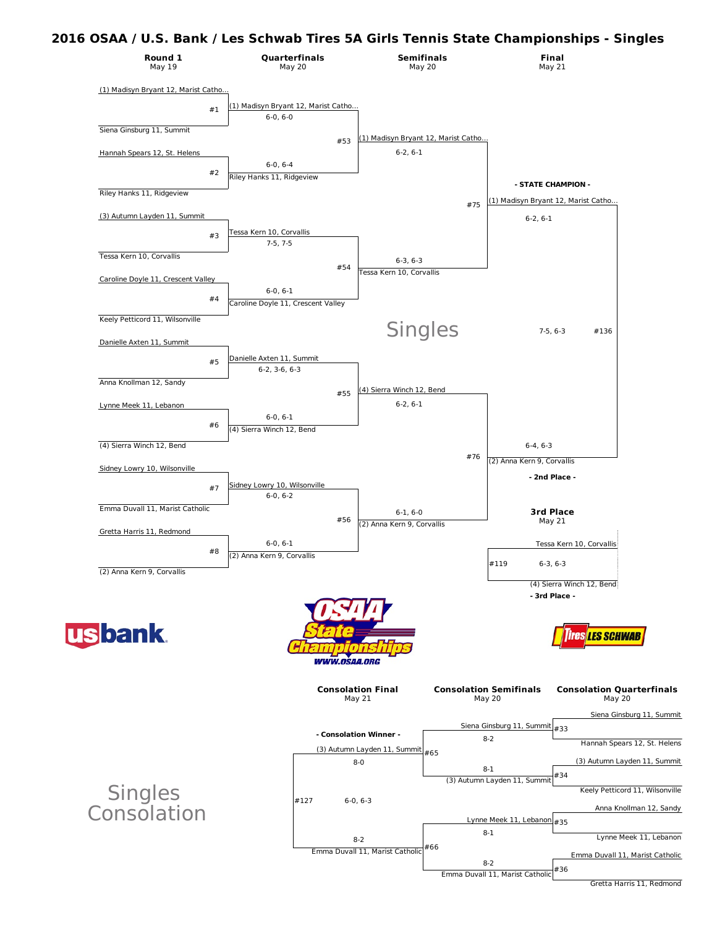## **2016 OSAA / U.S. Bank / Les Schwab Tires 5A Girls Tennis State Championships - Singles**



Gretta Harris 11, Redmond

#36

Emma Duvall 11, Marist Catholic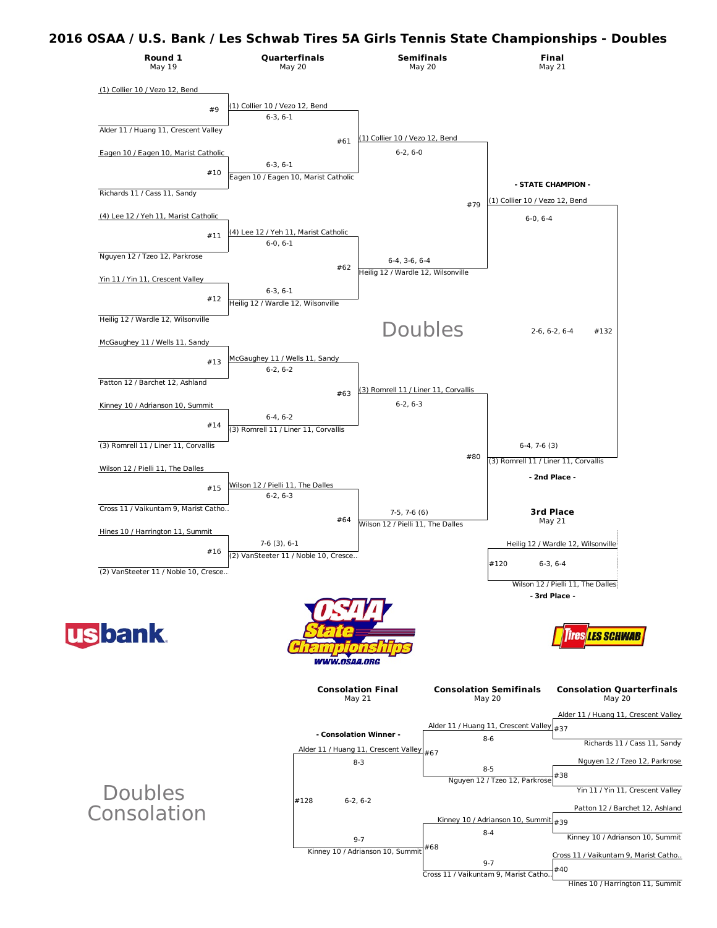## **2016 OSAA / U.S. Bank / Les Schwab Tires 5A Girls Tennis State Championships - Doubles**



#40 Cross 11 / Vaikuntam 9, Marist Catho…

Hines 10 / Harrington 11, Summit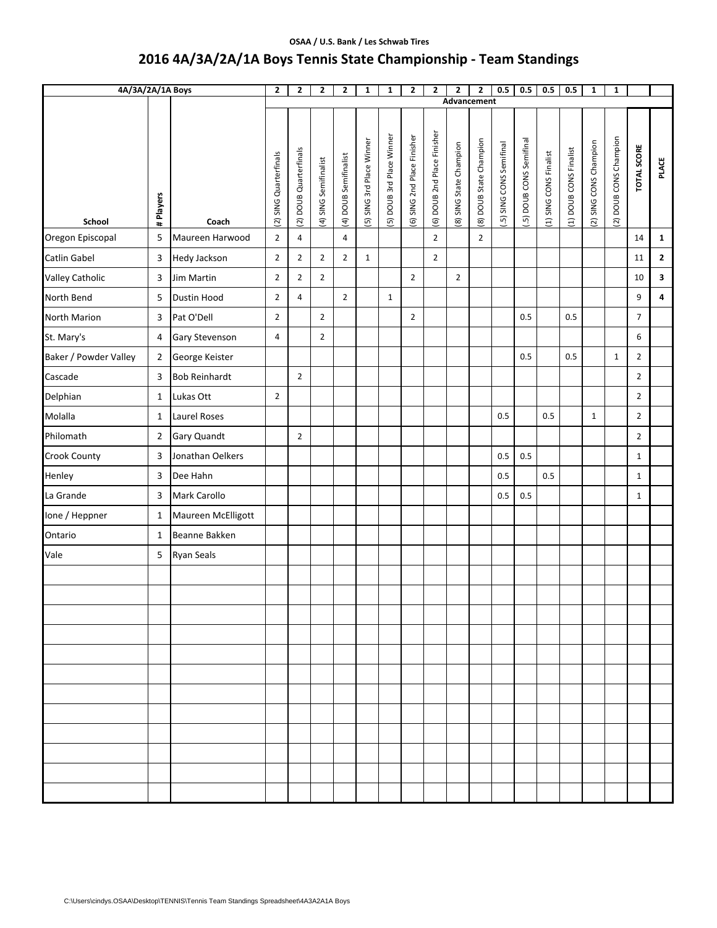#### **OSAA / U.S. Bank / Les Schwab Tires**

# **2016 4A/3A/2A/1A Boys Tennis State Championship ‐ Team Standings**

| 4A/3A/2A/1A Boys      |                |                      | $\mathbf{2}$           | 2                      | $\mathbf{2}$          | $\mathbf{2}$          | $\mathbf{1}$              | $\mathbf{1}$             | $\mathbf{2}$                | $\mathbf{2}$                | $\mathbf{2}$<br>Advancement | $\mathbf{z}$            | 0.5                      | 0.5                      | 0.5                    | 0.5                    | $\mathbf{1}$           | $\mathbf{1}$           |                    |                         |
|-----------------------|----------------|----------------------|------------------------|------------------------|-----------------------|-----------------------|---------------------------|--------------------------|-----------------------------|-----------------------------|-----------------------------|-------------------------|--------------------------|--------------------------|------------------------|------------------------|------------------------|------------------------|--------------------|-------------------------|
|                       |                |                      |                        |                        |                       |                       |                           |                          |                             |                             |                             |                         |                          |                          |                        |                        |                        |                        |                    |                         |
| School                | # Players      | Coach                | (2) SING Quarterfinals | (2) DOUB Quarterfinals | (4) SING Semifinalist | (4) DOUB Semifinalist | (5) SING 3rd Place Winner | 5) DOUB 3rd Place Winner | (6) SING 2nd Place Finisher | (6) DOUB 2nd Place Finisher | (8) SING State Champion     | (8) DOUB State Champion | (.5) SING CONS Semifinal | (.5) DOUB CONS Semifinal | (1) SING CONS Finalist | (1) DOUB CONS Finalist | (2) SING CONS Champion | (2) DOUB CONS Champion | <b>TOTAL SCORE</b> | <b>PLACE</b>            |
| Oregon Episcopal      | 5              | Maureen Harwood      | $\overline{2}$         | 4                      |                       | $\overline{4}$        |                           |                          |                             | $\overline{2}$              |                             | $\overline{2}$          |                          |                          |                        |                        |                        |                        | 14                 | $\mathbf{1}$            |
| <b>Catlin Gabel</b>   | 3              | Hedy Jackson         | $\overline{2}$         | $\overline{2}$         | $\overline{2}$        | $\overline{2}$        | $\mathbf{1}$              |                          |                             | $\overline{2}$              |                             |                         |                          |                          |                        |                        |                        |                        | 11                 | $\mathbf{2}$            |
| Valley Catholic       | 3              | <b>Jim Martin</b>    | $\overline{2}$         | $\overline{2}$         | $\overline{2}$        |                       |                           |                          | $\overline{2}$              |                             | $\overline{2}$              |                         |                          |                          |                        |                        |                        |                        | 10                 | 3                       |
| North Bend            | 5              | <b>Dustin Hood</b>   | $\overline{2}$         | 4                      |                       | $\overline{2}$        |                           | $\mathbf{1}$             |                             |                             |                             |                         |                          |                          |                        |                        |                        |                        | 9                  | $\overline{\mathbf{a}}$ |
| North Marion          | 3              | Pat O'Dell           | $\overline{2}$         |                        | $\overline{2}$        |                       |                           |                          | $\overline{2}$              |                             |                             |                         |                          | 0.5                      |                        | 0.5                    |                        |                        | $\overline{7}$     |                         |
| St. Mary's            | 4              | Gary Stevenson       | 4                      |                        | $\overline{2}$        |                       |                           |                          |                             |                             |                             |                         |                          |                          |                        |                        |                        |                        | 6                  |                         |
| Baker / Powder Valley | $\overline{2}$ | George Keister       |                        |                        |                       |                       |                           |                          |                             |                             |                             |                         |                          | 0.5                      |                        | 0.5                    |                        | $\mathbf{1}$           | $\overline{2}$     |                         |
| Cascade               | 3              | <b>Bob Reinhardt</b> |                        | $\overline{2}$         |                       |                       |                           |                          |                             |                             |                             |                         |                          |                          |                        |                        |                        |                        | $\overline{2}$     |                         |
| Delphian              | $\mathbf{1}$   | Lukas Ott            | $\overline{2}$         |                        |                       |                       |                           |                          |                             |                             |                             |                         |                          |                          |                        |                        |                        |                        | $\overline{2}$     |                         |
| Molalla               | $\mathbf{1}$   | <b>Laurel Roses</b>  |                        |                        |                       |                       |                           |                          |                             |                             |                             |                         | 0.5                      |                          | 0.5                    |                        | $\mathbf{1}$           |                        | $\overline{2}$     |                         |
| Philomath             | $\overline{2}$ | Gary Quandt          |                        | $\overline{2}$         |                       |                       |                           |                          |                             |                             |                             |                         |                          |                          |                        |                        |                        |                        | $\overline{2}$     |                         |
| Crook County          | 3              | Jonathan Oelkers     |                        |                        |                       |                       |                           |                          |                             |                             |                             |                         | 0.5                      | 0.5                      |                        |                        |                        |                        | $\mathbf{1}$       |                         |
| Henley                | 3              | Dee Hahn             |                        |                        |                       |                       |                           |                          |                             |                             |                             |                         | 0.5                      |                          | 0.5                    |                        |                        |                        | $\mathbf{1}$       |                         |
| La Grande             | 3              | Mark Carollo         |                        |                        |                       |                       |                           |                          |                             |                             |                             |                         | 0.5                      | 0.5                      |                        |                        |                        |                        | $\mathbf{1}$       |                         |
| Ione / Heppner        | $\mathbf{1}$   | Maureen McElligott   |                        |                        |                       |                       |                           |                          |                             |                             |                             |                         |                          |                          |                        |                        |                        |                        |                    |                         |
| Ontario               | $\mathbf{1}$   | Beanne Bakken        |                        |                        |                       |                       |                           |                          |                             |                             |                             |                         |                          |                          |                        |                        |                        |                        |                    |                         |
| Vale                  | 5              | <b>Ryan Seals</b>    |                        |                        |                       |                       |                           |                          |                             |                             |                             |                         |                          |                          |                        |                        |                        |                        |                    |                         |
|                       |                |                      |                        |                        |                       |                       |                           |                          |                             |                             |                             |                         |                          |                          |                        |                        |                        |                        |                    |                         |
|                       |                |                      |                        |                        |                       |                       |                           |                          |                             |                             |                             |                         |                          |                          |                        |                        |                        |                        |                    |                         |
|                       |                |                      |                        |                        |                       |                       |                           |                          |                             |                             |                             |                         |                          |                          |                        |                        |                        |                        |                    |                         |
|                       |                |                      |                        |                        |                       |                       |                           |                          |                             |                             |                             |                         |                          |                          |                        |                        |                        |                        |                    |                         |
|                       |                |                      |                        |                        |                       |                       |                           |                          |                             |                             |                             |                         |                          |                          |                        |                        |                        |                        |                    |                         |
|                       |                |                      |                        |                        |                       |                       |                           |                          |                             |                             |                             |                         |                          |                          |                        |                        |                        |                        |                    |                         |
|                       |                |                      |                        |                        |                       |                       |                           |                          |                             |                             |                             |                         |                          |                          |                        |                        |                        |                        |                    |                         |
|                       |                |                      |                        |                        |                       |                       |                           |                          |                             |                             |                             |                         |                          |                          |                        |                        |                        |                        |                    |                         |
|                       |                |                      |                        |                        |                       |                       |                           |                          |                             |                             |                             |                         |                          |                          |                        |                        |                        |                        |                    |                         |
|                       |                |                      |                        |                        |                       |                       |                           |                          |                             |                             |                             |                         |                          |                          |                        |                        |                        |                        |                    |                         |
|                       |                |                      |                        |                        |                       |                       |                           |                          |                             |                             |                             |                         |                          |                          |                        |                        |                        |                        |                    |                         |
|                       |                |                      |                        |                        |                       |                       |                           |                          |                             |                             |                             |                         |                          |                          |                        |                        |                        |                        |                    |                         |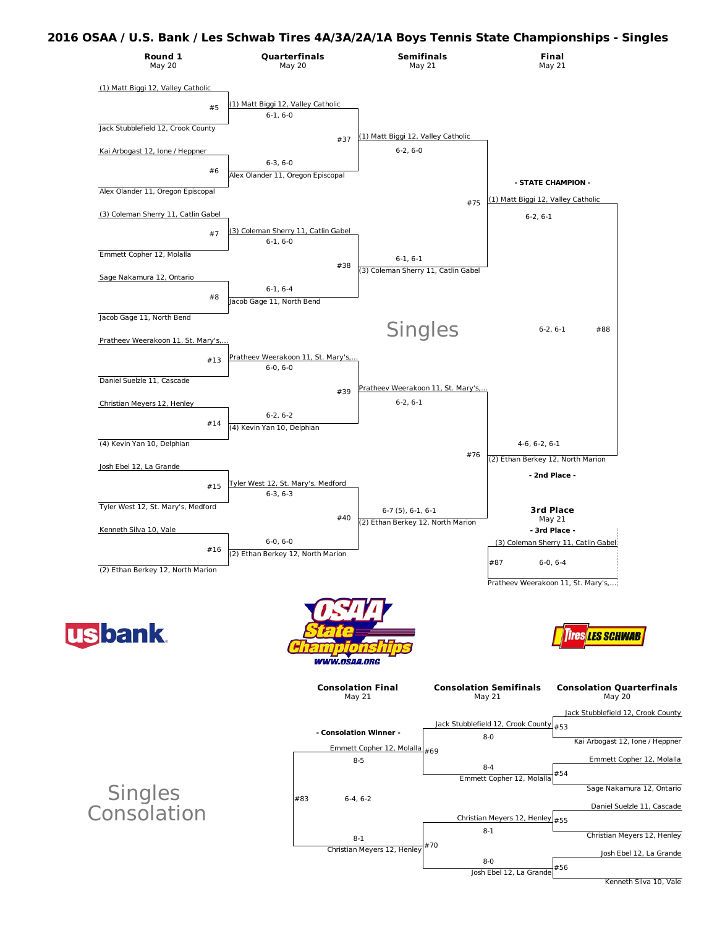#### **2016 OSAA / U.S. Bank / Les Schwab Tires 4A/3A/2A/1A Boys Tennis State Championships - Singles**



Kenneth Silva 10, Vale

Josh Ebel 12, La Grande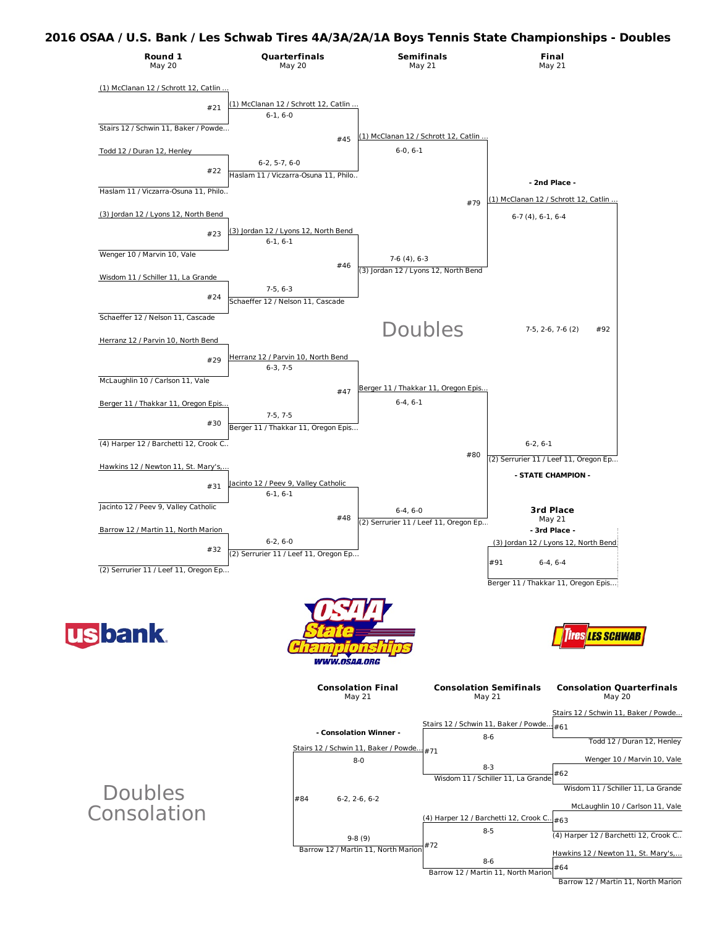## **2016 OSAA / U.S. Bank / Les Schwab Tires 4A/3A/2A/1A Boys Tennis State Championships -Doubles**

| Round 1<br>May 20                     | Quarterfinals<br>May 20                                 | <b>Semifinals</b><br>May 21                         | <b>Final</b><br>May 21                                |                                            |
|---------------------------------------|---------------------------------------------------------|-----------------------------------------------------|-------------------------------------------------------|--------------------------------------------|
| (1) McClanan 12 / Schrott 12, Catlin  |                                                         |                                                     |                                                       |                                            |
| #21                                   | (1) McClanan 12 / Schrott 12, Catlin                    |                                                     |                                                       |                                            |
|                                       | $6-1, 6-0$                                              |                                                     |                                                       |                                            |
| Stairs 12 / Schwin 11, Baker / Powde  | #45                                                     | (1) McClanan 12 / Schrott 12, Catlin                |                                                       |                                            |
| Todd 12 / Duran 12, Henley            |                                                         | $6-0, 6-1$                                          |                                                       |                                            |
| #22                                   | $6-2, 5-7, 6-0$<br>Haslam 11 / Viczarra-Osuna 11. Philo |                                                     |                                                       |                                            |
| Haslam 11 / Viczarra-Osuna 11, Philo  |                                                         |                                                     | - 2nd Place -                                         |                                            |
| (3) Jordan 12 / Lyons 12, North Bend  |                                                         | #79                                                 | (1) McClanan 12 / Schrott 12, Catlin                  |                                            |
|                                       | (3) Jordan 12 / Lyons 12, North Bend                    |                                                     | $6-7(4)$ , $6-1$ , $6-4$                              |                                            |
| #23                                   | $6-1, 6-1$                                              |                                                     |                                                       |                                            |
| Wenger 10 / Marvin 10, Vale           | #46                                                     | $7-6(4), 6-3$                                       |                                                       |                                            |
| Wisdom 11 / Schiller 11, La Grande    |                                                         | (3) Jordan 12 / Lyons 12, North Bend                |                                                       |                                            |
| #24                                   | $7-5, 6-3$                                              |                                                     |                                                       |                                            |
| Schaeffer 12 / Nelson 11, Cascade     | Schaeffer 12 / Nelson 11, Cascade                       |                                                     |                                                       |                                            |
|                                       |                                                         | Doubles                                             | #92<br>$7-5, 2-6, 7-6(2)$                             |                                            |
| Herranz 12 / Parvin 10, North Bend    |                                                         |                                                     |                                                       |                                            |
| #29                                   | Herranz 12 / Parvin 10, North Bend<br>$6-3.7-5$         |                                                     |                                                       |                                            |
| McLaughlin 10 / Carlson 11, Vale      |                                                         |                                                     |                                                       |                                            |
| Berger 11 / Thakkar 11, Oregon Epis   | #47                                                     | Berger 11 / Thakkar 11, Oregon Epis<br>$6-4, 6-1$   |                                                       |                                            |
|                                       | $7-5, 7-5$                                              |                                                     |                                                       |                                            |
| #30                                   | Berger 11 / Thakkar 11, Oregon Epis                     |                                                     |                                                       |                                            |
| (4) Harper 12 / Barchetti 12, Crook C |                                                         | #80                                                 | $6-2, 6-1$                                            |                                            |
| Hawkins 12 / Newton 11, St. Mary's,   |                                                         |                                                     | (2) Serrurier 11 / Leef 11, Oregon Ep                 |                                            |
| #31                                   | Jacinto 12 / Peev 9, Valley Catholic                    |                                                     | - STATE CHAMPION -                                    |                                            |
| Jacinto 12 / Peev 9, Valley Catholic  | $6-1, 6-1$                                              |                                                     |                                                       |                                            |
|                                       | #48                                                     | $6-4, 6-0$<br>(2) Serrurier 11 / Leef 11, Oregon Ep | 3rd Place<br>May 21                                   |                                            |
| Barrow 12 / Martin 11, North Marion   | $6-2, 6-0$                                              |                                                     | - 3rd Place -<br>(3) Jordan 12 / Lyons 12, North Bend |                                            |
| #32                                   | (2) Serrurier 11 / Leef 11, Oregon Ep                   |                                                     |                                                       |                                            |
| (2) Serrurier 11 / Leef 11, Oregon Ep |                                                         |                                                     | #91<br>$6-4, 6-4$                                     |                                            |
|                                       |                                                         |                                                     | Berger 11 / Thakkar 11, Oregon Epis                   |                                            |
| <b>usbank</b>                         | <i><b>WWW.OSAA.ORG</b></i>                              |                                                     | ires <mark>les schwab</mark>                          |                                            |
|                                       |                                                         | <b>Consolation Final</b><br>May 21                  | <b>Consolation Semifinals</b><br>May 21               | <b>Consolation Quarterfinals</b><br>May 20 |
|                                       |                                                         |                                                     | Stairs 12 / Schwin 11, Baker / Powde<br>#61           | Stairs 12 / Schwin 11, Baker / Powde       |
|                                       |                                                         | - Consolation Winner -                              | $8-6$                                                 | Todd 12 / Duran 12, Henley                 |
|                                       |                                                         | Stairs 12 / Schwin 11, Baker / Powde #71<br>$8-0$   |                                                       | Wenger 10 / Marvin 10, Vale                |
|                                       |                                                         |                                                     | $8 - 3$<br>#62<br>Wisdom 11 / Schiller 11, La Grande  |                                            |
| <b>Doubles</b>                        |                                                         |                                                     |                                                       | Wisdom 11 / Schiller 11, La Grande         |
| Consolation                           | #84                                                     | $6-2, 2-6, 6-2$                                     |                                                       | McLaughlin 10 / Carlson 11, Vale           |
|                                       |                                                         |                                                     | (4) Harper 12 / Barchetti 12, Crook C.<br>#63         |                                            |
|                                       |                                                         | $9-8(9)$<br>#72                                     | $8 - 5$                                               | (4) Harper 12 / Barchetti 12, Crook C      |
|                                       |                                                         | Barrow 12 / Martin 11, North Marion                 | 8-6                                                   | Hawkins 12 / Newton 11, St. Mary's,        |
|                                       |                                                         |                                                     | #64<br>Barrow 12 / Martin 11, North Marion            |                                            |

Barrow 12 / Martin 11, North Marion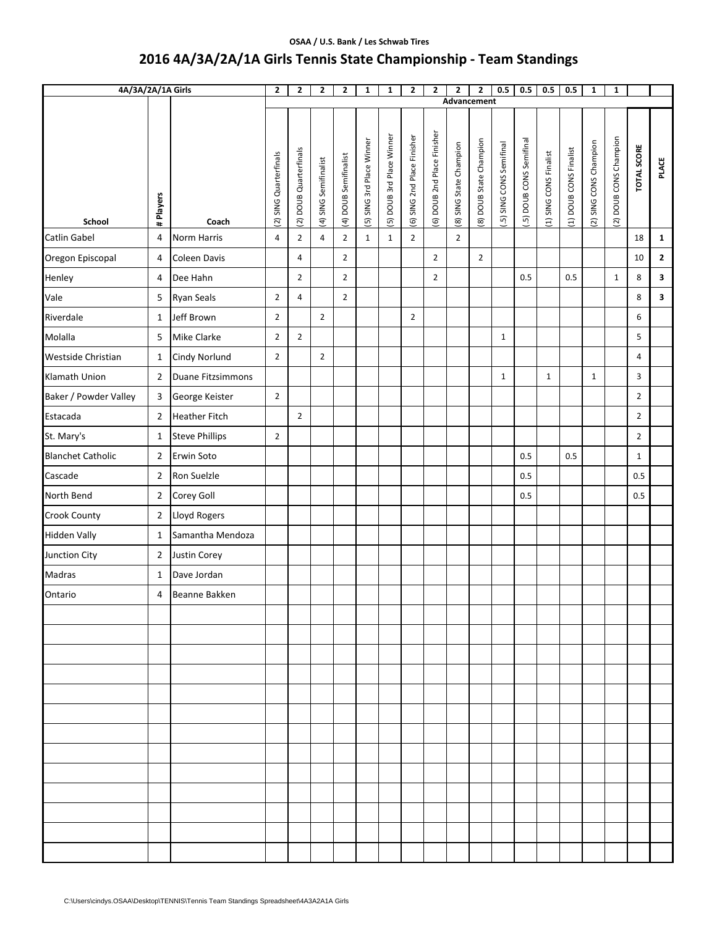#### **OSAA / U.S. Bank / Les Schwab Tires**

# **2016 4A/3A/2A/1A Girls Tennis State Championship ‐ Team Standings**

| 4A/3A/2A/1A Girls        |                |                       | $\mathbf{2}$           | $\mathbf{2}$           | $\overline{\mathbf{2}}$ | $\mathbf{2}$          | $\mathbf{1}$              | $\mathbf{1}$              | $\mathbf{2}$                | $\overline{2}$              | 2<br>Advancement        | $\overline{\mathbf{2}}$ | 0.5                      | 0.5                     | 0.5                    | 0.5                    | $\mathbf{1}$           | $\mathbf{1}$           |                |              |
|--------------------------|----------------|-----------------------|------------------------|------------------------|-------------------------|-----------------------|---------------------------|---------------------------|-----------------------------|-----------------------------|-------------------------|-------------------------|--------------------------|-------------------------|------------------------|------------------------|------------------------|------------------------|----------------|--------------|
|                          |                |                       |                        |                        |                         |                       |                           |                           |                             |                             |                         |                         |                          |                         |                        |                        |                        |                        |                |              |
| School                   | # Players      | Coach                 | (2) SING Quarterfinals | (2) DOUB Quarterfinals | (4) SING Semifinalist   | (4) DOUB Semifinalist | (5) SING 3rd Place Winner | (5) DOUB 3rd Place Winner | (6) SING 2nd Place Finisher | (6) DOUB 2nd Place Finisher | (8) SING State Champion | (8) DOUB State Champion | [.5] SING CONS Semifinal | .5) DOUB CONS Semifinal | (1) SING CONS Finalist | (1) DOUB CONS Finalist | (2) SING CONS Champion | (2) DOUB CONS Champion | TOTAL SCORE    | <b>PLACE</b> |
| Catlin Gabel             | 4              | <b>Norm Harris</b>    | 4                      | $\overline{2}$         | $\overline{4}$          | $\overline{2}$        | $\mathbf{1}$              | $\mathbf{1}$              | $\overline{2}$              |                             | $\overline{2}$          |                         |                          |                         |                        |                        |                        |                        | 18             | $\mathbf{1}$ |
| Oregon Episcopal         | 4              | Coleen Davis          |                        | 4                      |                         | $\overline{2}$        |                           |                           |                             | $\overline{2}$              |                         | $\overline{2}$          |                          |                         |                        |                        |                        |                        | 10             | $\mathbf{2}$ |
| Henley                   | $\overline{4}$ | Dee Hahn              |                        | $\overline{2}$         |                         | $\overline{2}$        |                           |                           |                             | $\overline{2}$              |                         |                         |                          | 0.5                     |                        | 0.5                    |                        | $\mathbf{1}$           | 8              | 3            |
| Vale                     | 5              | <b>Ryan Seals</b>     | $\overline{2}$         | 4                      |                         | $\overline{2}$        |                           |                           |                             |                             |                         |                         |                          |                         |                        |                        |                        |                        | 8              | 3            |
| Riverdale                | $\mathbf{1}$   | Jeff Brown            | $\overline{2}$         |                        | $\overline{2}$          |                       |                           |                           | $\overline{2}$              |                             |                         |                         |                          |                         |                        |                        |                        |                        | 6              |              |
| Molalla                  | 5              | Mike Clarke           | $\overline{2}$         | $\overline{2}$         |                         |                       |                           |                           |                             |                             |                         |                         | $\mathbf{1}$             |                         |                        |                        |                        |                        | 5              |              |
| Westside Christian       | $\mathbf{1}$   | <b>Cindy Norlund</b>  | $\overline{2}$         |                        | $\overline{2}$          |                       |                           |                           |                             |                             |                         |                         |                          |                         |                        |                        |                        |                        | 4              |              |
| Klamath Union            | $\mathbf 2$    | Duane Fitzsimmons     |                        |                        |                         |                       |                           |                           |                             |                             |                         |                         | $\mathbf{1}$             |                         | $\mathbf{1}$           |                        | $\mathbf 1$            |                        | 3              |              |
| Baker / Powder Valley    | 3              | George Keister        | $\overline{2}$         |                        |                         |                       |                           |                           |                             |                             |                         |                         |                          |                         |                        |                        |                        |                        | $\overline{2}$ |              |
| Estacada                 | $\overline{2}$ | <b>Heather Fitch</b>  |                        | $\overline{2}$         |                         |                       |                           |                           |                             |                             |                         |                         |                          |                         |                        |                        |                        |                        | $\overline{2}$ |              |
| St. Mary's               | $\mathbf{1}$   | <b>Steve Phillips</b> | $\overline{2}$         |                        |                         |                       |                           |                           |                             |                             |                         |                         |                          |                         |                        |                        |                        |                        | $\overline{2}$ |              |
| <b>Blanchet Catholic</b> | $\overline{2}$ | Erwin Soto            |                        |                        |                         |                       |                           |                           |                             |                             |                         |                         |                          | 0.5                     |                        | 0.5                    |                        |                        | $\mathbf{1}$   |              |
| Cascade                  | $\overline{2}$ | Ron Suelzle           |                        |                        |                         |                       |                           |                           |                             |                             |                         |                         |                          | 0.5                     |                        |                        |                        |                        | 0.5            |              |
| North Bend               | $\overline{2}$ | Corey Goll            |                        |                        |                         |                       |                           |                           |                             |                             |                         |                         |                          | 0.5                     |                        |                        |                        |                        | 0.5            |              |
| Crook County             | $\overline{2}$ | Lloyd Rogers          |                        |                        |                         |                       |                           |                           |                             |                             |                         |                         |                          |                         |                        |                        |                        |                        |                |              |
| <b>Hidden Vally</b>      | $\mathbf{1}$   | Samantha Mendoza      |                        |                        |                         |                       |                           |                           |                             |                             |                         |                         |                          |                         |                        |                        |                        |                        |                |              |
| Junction City            | $\overline{2}$ | Justin Corey          |                        |                        |                         |                       |                           |                           |                             |                             |                         |                         |                          |                         |                        |                        |                        |                        |                |              |
| Madras                   | $\mathbf{1}$   | Dave Jordan           |                        |                        |                         |                       |                           |                           |                             |                             |                         |                         |                          |                         |                        |                        |                        |                        |                |              |
| Ontario                  | 4              | Beanne Bakken         |                        |                        |                         |                       |                           |                           |                             |                             |                         |                         |                          |                         |                        |                        |                        |                        |                |              |
|                          |                |                       |                        |                        |                         |                       |                           |                           |                             |                             |                         |                         |                          |                         |                        |                        |                        |                        |                |              |
|                          |                |                       |                        |                        |                         |                       |                           |                           |                             |                             |                         |                         |                          |                         |                        |                        |                        |                        |                |              |
|                          |                |                       |                        |                        |                         |                       |                           |                           |                             |                             |                         |                         |                          |                         |                        |                        |                        |                        |                |              |
|                          |                |                       |                        |                        |                         |                       |                           |                           |                             |                             |                         |                         |                          |                         |                        |                        |                        |                        |                |              |
|                          |                |                       |                        |                        |                         |                       |                           |                           |                             |                             |                         |                         |                          |                         |                        |                        |                        |                        |                |              |
|                          |                |                       |                        |                        |                         |                       |                           |                           |                             |                             |                         |                         |                          |                         |                        |                        |                        |                        |                |              |
|                          |                |                       |                        |                        |                         |                       |                           |                           |                             |                             |                         |                         |                          |                         |                        |                        |                        |                        |                |              |
|                          |                |                       |                        |                        |                         |                       |                           |                           |                             |                             |                         |                         |                          |                         |                        |                        |                        |                        |                |              |
|                          |                |                       |                        |                        |                         |                       |                           |                           |                             |                             |                         |                         |                          |                         |                        |                        |                        |                        |                |              |
|                          |                |                       |                        |                        |                         |                       |                           |                           |                             |                             |                         |                         |                          |                         |                        |                        |                        |                        |                |              |
|                          |                |                       |                        |                        |                         |                       |                           |                           |                             |                             |                         |                         |                          |                         |                        |                        |                        |                        |                |              |
|                          |                |                       |                        |                        |                         |                       |                           |                           |                             |                             |                         |                         |                          |                         |                        |                        |                        |                        |                |              |
|                          |                |                       |                        |                        |                         |                       |                           |                           |                             |                             |                         |                         |                          |                         |                        |                        |                        |                        |                |              |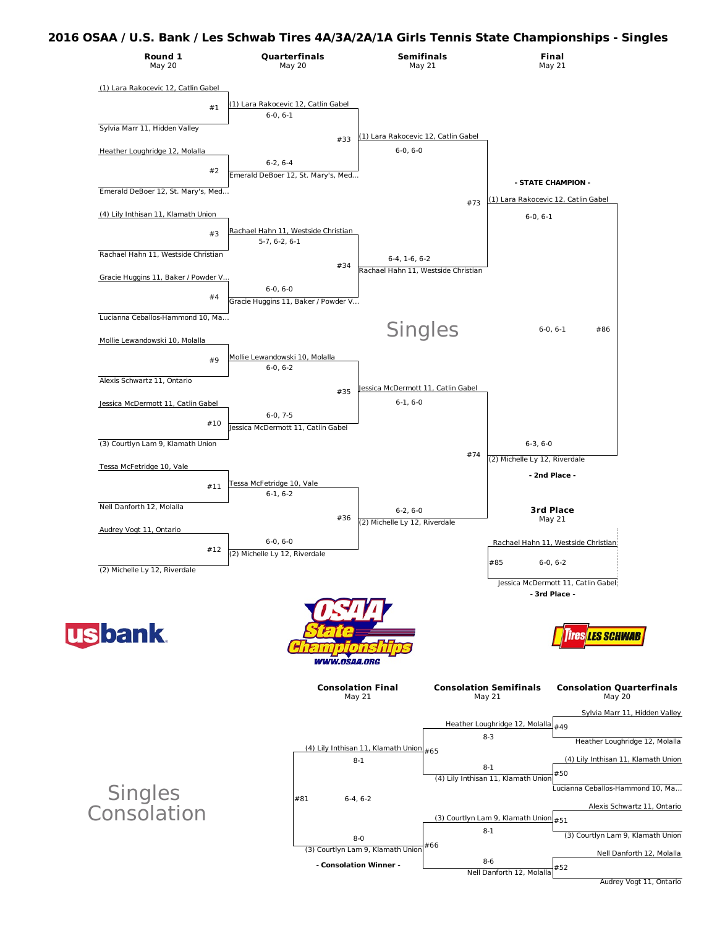#### **2016 OSAA / U.S. Bank / Les Schwab Tires 4A/3A/2A/1A Girls Tennis State Championships - Singles**



**- Consolation Winner -**

#52

Nell Danforth 12, Molalla